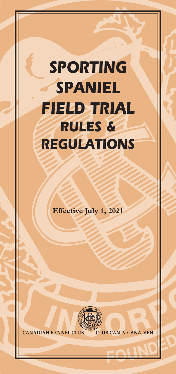# *SPORTING SPANIEL FIELD TRIAL RULES & REGULATIONS*

**Effective July 1, 2021**



**CANADIAN KENNEL CLUB CLUB CANIN CANADIEN**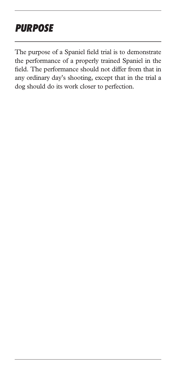# *PURPOSE*

The purpose of a Spaniel field trial is to demonstrate the performance of a properly trained Spaniel in the field. The performance should not differ from that in any ordinary day's shooting, except that in the trial a dog should do its work closer to perfection.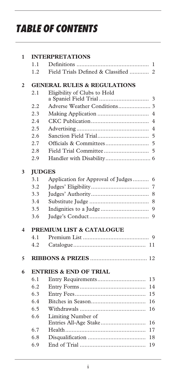# *TABLE OF CONTENTS*

| 1                                                              | <b>INTERPRETATIONS</b>                 |                                                   |  |  |  |
|----------------------------------------------------------------|----------------------------------------|---------------------------------------------------|--|--|--|
|                                                                | 1.1                                    | 1                                                 |  |  |  |
|                                                                | 1.2                                    | Field Trials Defined & Classified<br>2            |  |  |  |
| $\overline{2}$                                                 | <b>GENERAL RULES &amp; REGULATIONS</b> |                                                   |  |  |  |
|                                                                | 2.1                                    | Eligibility of Clubs to Hold                      |  |  |  |
|                                                                |                                        | 3                                                 |  |  |  |
|                                                                | 2.2                                    |                                                   |  |  |  |
|                                                                | 2.3                                    | $\overline{4}$                                    |  |  |  |
|                                                                | 2.4                                    | 4                                                 |  |  |  |
|                                                                | 2.5                                    | 4                                                 |  |  |  |
|                                                                | 2.6                                    | 5                                                 |  |  |  |
|                                                                | 2.7                                    | 5                                                 |  |  |  |
|                                                                | 2.8                                    | 5                                                 |  |  |  |
|                                                                | 2.9                                    |                                                   |  |  |  |
| 3                                                              |                                        | <b>JUDGES</b>                                     |  |  |  |
|                                                                | 3.1                                    | Application for Approval of Judges<br>6           |  |  |  |
|                                                                | 3.2                                    | 7                                                 |  |  |  |
|                                                                | 3.3                                    | 8                                                 |  |  |  |
|                                                                | 3.4                                    | 8                                                 |  |  |  |
|                                                                | 3.5                                    | 9                                                 |  |  |  |
|                                                                | 3.6                                    | 9                                                 |  |  |  |
| <b>PREMIUM LIST &amp; CATALOGUE</b><br>$\overline{\mathbf{4}}$ |                                        |                                                   |  |  |  |
|                                                                | 4.1                                    | $\mathbf Q$                                       |  |  |  |
|                                                                | 4.2                                    | 11                                                |  |  |  |
| 5                                                              |                                        |                                                   |  |  |  |
| 6                                                              | <b>ENTRIES &amp; END OF TRIAL</b>      |                                                   |  |  |  |
|                                                                | 6.1                                    | 13                                                |  |  |  |
|                                                                | 6.2                                    | 14                                                |  |  |  |
|                                                                | 6.3                                    | 15                                                |  |  |  |
|                                                                | 6.4                                    | 16                                                |  |  |  |
|                                                                | 6.5                                    | 16                                                |  |  |  |
|                                                                | 6.6                                    | Limiting Number of<br>Entries All-Age Stake<br>16 |  |  |  |
|                                                                | 6.7                                    | 17                                                |  |  |  |
|                                                                | 6.8                                    | 18                                                |  |  |  |
|                                                                | 6.9                                    | 19                                                |  |  |  |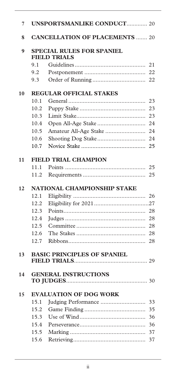| 7  |                                                  | <b>UNSPORTSMANLIKE CONDUCT 20</b>  |    |  |
|----|--------------------------------------------------|------------------------------------|----|--|
| 8  | <b>CANCELLATION OF PLACEMENTS  20</b>            |                                    |    |  |
| 9  | SPECIAL RULES FOR SPANIEL<br><b>FIELD TRIALS</b> |                                    |    |  |
|    | 9.1                                              |                                    | 21 |  |
|    | 9.2                                              |                                    | 22 |  |
|    | 9.3                                              |                                    |    |  |
| 10 | <b>REGULAR OFFICIAL STAKES</b>                   |                                    |    |  |
|    | 10.1                                             |                                    | 23 |  |
|    | 10.2                                             |                                    | 23 |  |
|    | 10.3                                             |                                    | 23 |  |
|    | 10.4                                             |                                    | 24 |  |
|    | 10.5                                             | Amateur All-Age Stake              | 24 |  |
|    | 10.6                                             |                                    | 24 |  |
|    | 10.7                                             |                                    | 25 |  |
|    |                                                  |                                    |    |  |
| 11 |                                                  | <b>FIELD TRIAL CHAMPION</b>        |    |  |
|    | 11.1                                             |                                    | 25 |  |
|    | 11.2                                             |                                    | 25 |  |
|    | <b>NATIONAL CHAMPIONSHIP STAKE</b>               |                                    |    |  |
| 12 |                                                  |                                    |    |  |
|    | 12.1                                             |                                    | 26 |  |
|    | 12.2                                             |                                    |    |  |
|    | 12.3                                             |                                    | 28 |  |
|    | 12.4                                             |                                    | 28 |  |
|    | 12.5                                             |                                    | 28 |  |
|    | 12.6                                             |                                    | 28 |  |
|    | 12.7                                             |                                    | 28 |  |
|    |                                                  |                                    |    |  |
| 13 |                                                  | <b>BASIC PRINCIPLES OF SPANIEL</b> |    |  |
| 14 |                                                  | <b>GENERAL INSTRUCTIONS</b>        |    |  |
| 15 |                                                  | <b>EVALUATION OF DOG WORK</b>      |    |  |
|    | 15.1                                             | Judging Performance                | 33 |  |
|    | 15.2                                             |                                    | 35 |  |
|    | 15.3                                             |                                    | 36 |  |
|    | 15.4                                             |                                    | 36 |  |
|    | 15.5                                             |                                    | 37 |  |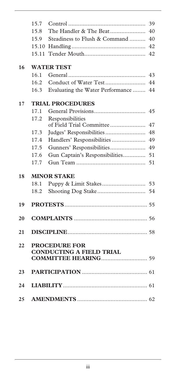|    | 15.7                    |                                  | 39 |  |  |
|----|-------------------------|----------------------------------|----|--|--|
|    | 15.8                    | The Handler & The Beat           | 40 |  |  |
|    | 15.9                    | Steadiness to Flush & Command    | 40 |  |  |
|    | 15.10                   |                                  | 42 |  |  |
|    | 15.11                   |                                  | 42 |  |  |
|    |                         |                                  |    |  |  |
| 16 | <b>WATER TEST</b>       |                                  |    |  |  |
|    | 16.1                    |                                  | 43 |  |  |
|    | 16.2                    |                                  | 44 |  |  |
|    | 16.3                    | Evaluating the Water Performance | 44 |  |  |
| 17 | <b>TRIAL PROCEDURES</b> |                                  |    |  |  |
|    | 17.1                    |                                  | 45 |  |  |
|    | 17.2                    | Responsibilities                 |    |  |  |
|    |                         | of Field Trial Committee         | 47 |  |  |
|    | 17.3                    | Judges' Responsibilities         | 48 |  |  |
|    | 17.4                    | Handlers' Responsibilities       | 49 |  |  |
|    | 17.5                    | Gunners' Responsibilities        | 49 |  |  |
|    | 17.6                    | Gun Captain's Responsibilities   | 51 |  |  |
|    | 17.7                    |                                  | 51 |  |  |
| 18 |                         | <b>MINOR STAKE</b>               |    |  |  |
|    | 18.1                    |                                  | 53 |  |  |
|    | 18.2                    |                                  | 54 |  |  |
|    |                         |                                  |    |  |  |
| 19 |                         |                                  |    |  |  |
| 20 |                         |                                  |    |  |  |
|    |                         |                                  |    |  |  |
| 21 |                         |                                  |    |  |  |
| 22 |                         | <b>PROCEDURE FOR</b>             |    |  |  |
|    |                         | <b>CONDUCTING A FIELD TRIAL</b>  |    |  |  |
|    |                         |                                  |    |  |  |
| 23 |                         |                                  |    |  |  |
|    |                         |                                  |    |  |  |
| 24 |                         |                                  |    |  |  |
|    |                         |                                  |    |  |  |
| 25 |                         |                                  |    |  |  |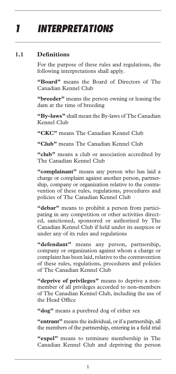# *1 INTERPRETATIONS*

#### **1.1 Definitions**

For the purpose of these rules and regulations, the following interpretations shall apply.

**"Board"** means the Board of Directors of The Canadian Kennel Club

**"breeder"** means the person owning or leasing the dam at the time of breeding

**"By-laws"** shall mean the By-laws of The Canadian Kennel Club

**"CKC"** means The Canadian Kennel Club

**"Club"** means The Canadian Kennel Club

"club" means a club or association accredited by The Canadian Kennel Club

**"complainant"** means any person who has laid a charge or complaint against another person, partnership, company or organization relative to the contravention of these rules, regulations, procedures and policies of The Canadian Kennel Club

**"debar"** means to prohibit a person from participating in any competition or other activities directed, sanctioned, sponsored or authorized by The Canadian Kennel Club if held under its auspices or under any of its rules and regulations

**"defendant"** means any person, partnership, company or organization against whom a charge or complaint has been laid, relative to the contravention of these rules, regulations, procedures and policies of The Canadian Kennel Club

**"deprive of privileges"** means to deprive a nonmember of all privileges accorded to non-members of The Canadian Kennel Club, including the use of the Head Office

**"dog"** means a purebred dog of either sex

**"entrant"** means the individual, or if a partnership, all the members of the partnership, entering in a field trial

**"expel"** means to terminate membership in The Canadian Kennel Club and depriving the person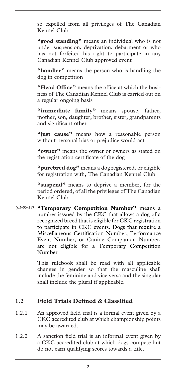so expelled from all privileges of The Canadian Kennel Club

**"good standing"** means an individual who is not under suspension, deprivation, debarment or who has not forfeited his right to participate in any Canadian Kennel Club approved event

**"handler"** means the person who is handling the dog in competition

**"Head Office"** means the office at which the business of The Canadian Kennel Club is carried out on a regular ongoing basis

**"immediate family"** means spouse, father, mother, son, daughter, brother, sister, grandparents and significant other

"just cause" means how a reasonable person without personal bias or prejudice would act

**"owner"** means the owner or owners as stated on the registration certificate of the dog

**"purebred dog"** means a dog registered, or eligible for registration with, The Canadian Kennel Club

**"suspend"** means to deprive a member, for the period ordered, of all the privileges of The Canadian Kennel Club

**"Temporary Competition Number"** means a *(01-05-18)* number isssued by the CKC that allows a dog of a recognized breed that is eligible for CKC registration to participate in CKC events. Dogs that require a Miscellaneous Certification Number, Performance Event Number, or Canine Companion Number, are not eligible for a Temporary Competition Number

> This rulebook shall be read with all applicable changes in gender so that the masculine shall include the feminine and vice versa and the singular shall include the plural if applicable.

#### **1.2 Field Trials Defined & Classified**

- 1.2.1 An approved field trial is a formal event given by a CKC accredited club at which championship points may be awarded.
- 1.2.2 A sanction field trial is an informal event given by a CKC accredited club at which dogs compete but do not earn qualifying scores towards a title.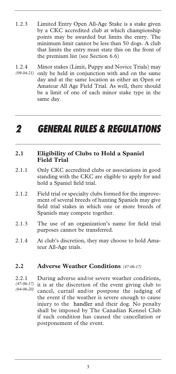- 1.2.3 Limited Entry Open All-Age Stake is a stake given by a CKC accredited club at which championship points may be awarded but limits the entry. The minimum limit cannot be less than 50 dogs. A club that limits the entry must state this on the front of the premium list (see Section 6.6)
- 1.2.4 Minor stakes (Limit, Puppy and Novice Trials) may only be held in conjunction with and on the same day and at the same location as either an Open or Amateur All Age Field Trial. As well, there should be a limit of one of each minor stake type in the same day. *(09-04-21)*

### *2 GENERAL RULES & REGULATIONS*

#### **2.1 Eligibility of Clubs to Hold a Spaniel Field Trial**

- 2.1.1 Only CKC accredited clubs or associations in good standing with the CKC are eligible to apply for and hold a Spaniel field trial.
- 2.1.2 Field trial or specialty clubs formed for the improvement of several breeds of hunting Spaniels may give field trial stakes in which one or more breeds of Spaniels may compete together.
- 2.1.3 The use of an organization's name for field trial purposes cannot be transferred.
- 2.1.4 At club's discretion, they may choose to hold Amateur All-Age trials.

#### **2.2 Adverse Weather Conditions** *(47-06-17)*

2.2.1 During adverse and/or severe weather conditions, it is at the discretion of the event giving club to cancel, curtail and/or postpone the judging of the event if the weather is severe enough to cause injury to the handler and their dog. No penalty shall be imposed by The Canadian Kennel Club if such condition has caused the cancellation or postponement of the event. *(47-06-17) (64-06-20)*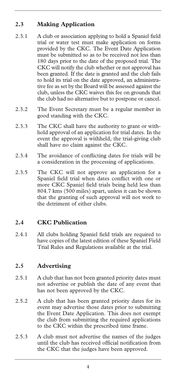#### **2.3 Making Application**

- 2.3.1 A club or association applying to hold a Spaniel field trial or water test must make application on forms provided by the CKC. The Event Date Application must be submitted so as to be received not less than 180 days prior to the date of the proposed trial. The CKC will notify the club whether or not approval has been granted. If the date is granted and the club fails to hold its trial on the date approved, an administrative fee as set by the Board will be assessed against the club, unless the CKC waives this fee on grounds that the club had no alternative but to postpone or cancel.
- 2.3.2 The Event Secretary must be a regular member in good standing with the CKC.
- 2.3.3 The CKC shall have the authority to grant or withhold approval of an application for trial dates. In the event the approval is withheld, the trial-giving club shall have no claim against the CKC.
- 2.3.4 The avoidance of conflicting dates for trials will be a consideration in the processing of applications.
- 2.3.5 The CKC will not approve an application for a Spaniel field trial when dates conflict with one or more CKC Spaniel field trials being held less than 804.7 kms (500 miles) apart, unless it can be shown that the granting of such approval will not work to the detriment of either clubs.

#### **2.4 CKC Publication**

2.4.1 All clubs holding Spaniel field trials are required to have copies of the latest edition of these Spaniel Field Trial Rules and Regulations available at the trial.

#### **2.5 Advertising**

- 2.5.1 A club that has not been granted priority dates must not advertise or publish the date of any event that has not been approved by the CKC.
- 2.5.2 A club that has been granted priority dates for its event may advertise those dates prior to submitting the Event Date Application. This does not exempt the club from submitting the required applications to the CKC within the prescribed time frame.
- 2.5.3 A club must not advertise the names of the judges until the club has received official notification from the CKC that the judges have been approved.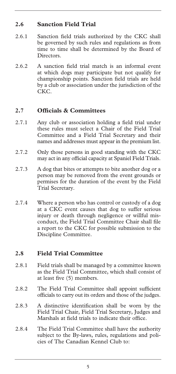#### **2.6 Sanction Field Trial**

- 2.6.1 Sanction field trials authorized by the CKC shall be governed by such rules and regulations as from time to time shall be determined by the Board of Directors.
- 2.6.2 A sanction field trial match is an informal event at which dogs may participate but not qualify for championship points. Sanction field trials are held by a club or association under the jurisdiction of the CKC.

#### **2.7 Officials & Committees**

- 2.7.1 Any club or association holding a field trial under these rules must select a Chair of the Field Trial Committee and a Field Trial Secretary and their names and addresses must appear in the premium list.
- 2.7.2 Only those persons in good standing with the CKC may act in any official capacity at Spaniel Field Trials.
- 2.7.3 A dog that bites or attempts to bite another dog or a person may be removed from the event grounds or permises for the duration of the event by the Field Trial Secretary.
- 2.7.4 Where a person who has control or custody of a dog at a CKC event causes that dog to suffer serious injury or death through negligence or willful misconduct, the Field Trial Committee Chair shall file a report to the CKC for possible submission to the Discipline Committee.

#### **2.8 Field Trial Committee**

- 2.8.1 Field trials shall be managed by a committee known as the Field Trial Committee, which shall consist of at least five (5) members.
- 2.8.2 The Field Trial Committee shall appoint sufficient officials to carry out its orders and those of the judges.
- 2.8.3 A distinctive identification shall be worn by the Field Trial Chair, Field Trial Secretary, Judges and Marshals at field trials to indicate their office.
- 2.8.4 The Field Trial Committee shall have the authority subject to the By-laws, rules, regulations and policies of The Canadian Kennel Club to: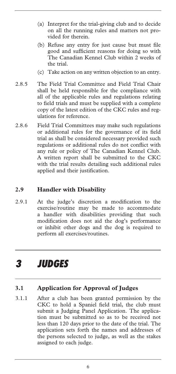- (a) Interpret for the trial-giving club and to decide on all the running rules and matters not provided for therein.
- (b) Refuse any entry for just cause but must file good and sufficient reasons for doing so with The Canadian Kennel Club within 2 weeks of the trial.
- (c) Take action on any written objection to an entry.
- 2.8.5 The Field Trial Committee and Field Trial Chair shall be held responsible for the compliance with all of the applicable rules and regulations relating to field trials and must be supplied with a complete copy of the latest edition of the CKC rules and regulations for reference.
- 2.8.6 Field Trial Committees may make such regulations or additional rules for the governance of its field trial as shall be considered necessary provided such regulations or additional rules do not conflict with any rule or policy of The Canadian Kennel Club. A written report shall be submitted to the CKC with the trial results detailing such additional rules applied and their justification.

#### **2.9 Handler with Disability**

2.9.1 At the judge's discretion a modification to the exercise/routine may be made to accommodate a handler with disabilities providing that such modification does not aid the dog's performance or inhibit other dogs and the dog is required to perform all exercises/routines.

### *3 JUDGES*

#### **3.1 Application for Approval of Judges**

3.1.1 After a club has been granted permission by the CKC to hold a Spaniel field trial, the club must submit a Judging Panel Application. The application must be submitted so as to be received not less than 120 days prior to the date of the trial. The application sets forth the names and addresses of the persons selected to judge, as well as the stakes assigned to each judge.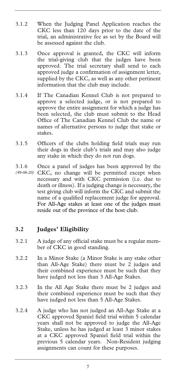- 3.1.2 When the Judging Panel Application reaches the CKC less than 120 days prior to the date of the trial, an administrative fee as set by the Board will be assessed against the club.
- 3.1.3 Once approval is granted, the CKC will inform the trial-giving club that the judges have been approved. The trial secretary shall send to each approved judge a confirmation of assignment letter, supplied by the CKC, as well as any other pertinent information that the club may include.
- 3.1.4 If The Canadian Kennel Club is not prepared to approve a selected judge, or is not prepared to approve the entire assignment for which a judge has been selected, the club must submit to the Head Office of The Canadian Kennel Club the name or names of alternative persons to judge that stake or stakes.
- 3.1.5 Officers of the clubs holding field trials may run their dogs in their club's trials and may also judge any stake in which they do not run dogs.
- 3.1.6 Once a panel of judges has been approved by the (49-06-20) CKC, no change will be permitted except when necessary and with CKC permission (i.e. due to death or illness). If a judging change is necessary, the test giving club will inform the CKC and submit the name of a qualified replacement judge for approval. For All-Age stakes at least one of the judges must reside out of the province of the host club.

#### **3.2 Judges' Eligibility**

- 3.2.1 A judge of any official stake must be a regular member of CKC in good standing.
- 3.2.2 In a Minor Stake (a Minor Stake is any stake other than All-Age Stake) there must be 2 judges and their combined experience must be such that they have judged not less than 3 All-Age Stakes.
- 3.2.3 In the All Age Stake there must be 2 judges and their combined experience must be such that they have judged not less than 5 All-Age Stakes.
- 3.2.4 A judge who has not judged an All-Age Stake at a CKC approved Spaniel field trial within 5 calendar years shall not be approved to judge the All-Age Stake, unless he has judged at least 3 minor stakes at a CKC approved Spaniel field trial within the previous 5 calendar years. Non-Resident judging assignments can count for these purposes.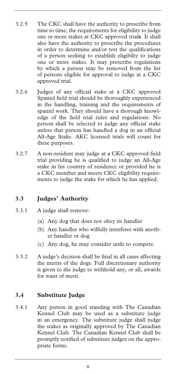- 3.2.5 The CKC shall have the authority to prescribe from time to time, the requirements for eligibility to judge one or more stakes at CKC approved trial**s**. It shall also have the authority to prescribe the procedures in order to determine and/or test the qualifications of a person seeking to establish eligibilty to judge one or more stakes. It may prescribe regulations by which a person may be removed from the list of persons eligible for approval to judge at a CKC approved trial.
- 3.2.6 Judges of any official stake at a CKC approved Spaniel field trial should be thoroughly experienced in the handling, training and the requirements of spaniel work. They should have a thorough knowledge of the field trial rules and regulations. No person shall be selected to judge any official stake unless that person has handled a dog in an official All-Age Stake. AKC licensed trials will count for these purposes.
- 3.2.7 A non-resident may judge at a CKC approved field trial providing he is qualified to judge an All-Age stake in his country of residence or provided he is a CKC member and meets CKC eligibility requirements to judge the stake for which he has applied.

#### **3.3 Judges' Authority**

- 3.3.1 A judge shall remove:
	- (a) Any dog that does not obey its handler
	- (b) Any handler who wilfully interferes with another handler or dog
	- (c) Any dog, he may consider unfit to compete.
- 3.3.2 A judge's decision shall be final in all cases affecting the merits of the dogs. Full discretionary authority is given to the judge to withhold any, or all, awards for want of merit.

#### **3.4 Substitute Judge**

3.4.1 Any person in good standing with The Canadian Kennel Club may be used as a substitute judge in an emergency. The substitute judge shall judge the stakes as originally approved by The Canadian Kennel Club. The Canadian Kennel Club shall be promptly notified of substitute judges on the appropriate forms.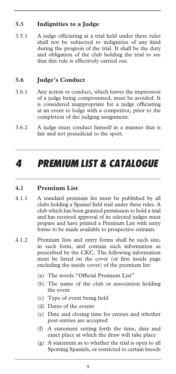#### **3.5 Indignities to a Judge**

3.5.1 A judge officiating at a trial held under these rules shall not be subjected to indignities of any kind during the progress of the trial. It shall be the duty and obligation of the club holding the trial to see that this rule is effectively carried out.

#### **3.6 Judge's Conduct**

- 3.6.1 Any action or conduct, which leaves the impression of a judge being compromised, must be avoided. It is considered inappropriate for a judge officiating at an event to lodge with a competitor, prior to the completion of the judging assignment.
- 3.6.2 A judge must conduct himself in a manner that is fair and not prejudicial to the sport.

### *4 PREMIUM LIST & CATALOGUE*

#### **4.1 Premium List**

- 4.1.1 A standard premium list must be published by all clubs holding a Spaniel field trial under these rules. A club which has been granted permission to hold a trial and has received approval of its selected judges must prepare and have printed a Premium List with entry forms to be made available to prospective entrants.
- 4.1.2 Premium lists and entry forms shall be such size, in such form, and contain such information as prescribed by the CKC. The following information must be listed on the cover (or first inside page excluding the inside cover) of the premium list:
	- (a) The words "Official Premium List"
	- (b) The name of the club or association holding the event
	- (c) Type of event being held
	- (d) Dates of the events
	- (e) Date and closing time for entries and whether post entries are accepted
	- (f) A statement setting forth the time, date and exact place at which the draw will take place
	- (g) A statement as to whether the trial is open to all Sporting Spaniels, or restricted to certain breeds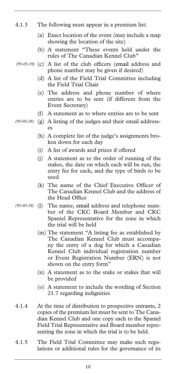- 4.1.3 The following must appear in a premium list:
	- (a) Exact location of the event (may include a map showing the location of the site)
	- (b) A statement "These events held under the rules of The Canadian Kennel Club"
- (95-05-19) (c) A list of the club officers (email address and phone number may be given if desired)
	- (d) A list of the Field Trial Committee including the Field Trial Chair
	- (e) The address and phone number of where entries are to be sent (if different from the Event Secretary)
	- (f) A statement as to where entries are to be sent
- (g) A listing of the judges and their email address-*(95-05-19)*  es
	- (h) A complete list of the judge's assignments broken down for each day
	- (i) A list of awards and prizes if offered
	- (j) A statement as to the order of running of the stakes, the date on which each will be run, the entry fee for each, and the type of birds to be used
	- (k) The name of the Chief Executive Officer of The Canadian Kennel Club and the address of the Head Office
- The name, email address and telephone number of the CKC Board Member and CKC Spaniel Representative for the zone in which the trial will be held  $(95-05-19)$  (1)
	- (m) The statement "A listing fee as established by The Canadian Kennel Club must accompany the entry of a dog for which a Canadian Kennel Club individual registration number or Event Registration Number (ERN) is not shown on the entry form"
	- (n) A statement as to the stake or stakes that will be provided
	- (o) A statement to include the wording of Section 21.7 regarding indignities
- 4.1.4 At the time of distribution to prospective entrants, 2 copies of the premium list must be sent to The Canadian Kennel Club and one copy each to the Spaniel Field Trial Representative and Board member representing the zone in which the trial is to be held.
- 4.1.5 The Field Trial Committee may make such regulations or additional rules for the governance of its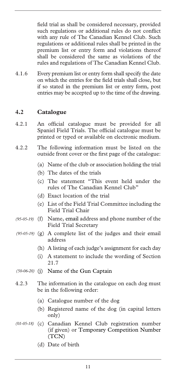field trial as shall be considered necessary, provided such regulations or additional rules do not conflict with any rule of The Canadian Kennel Club. Such regulations or additional rules shall be printed in the premium list or entry form and violations thereof shall be considered the same as violations of the rules and regulations of The Canadian Kennel Club.

4.1.6 Every premium list or entry form shall specify the date on which the entries for the field trials shall close, but if so stated in the premium list or entry form, post entries may be accepted up to the time of the drawing.

#### **4.2 Catalogue**

- 4.2.1 An official catalogue must be provided for all Spaniel Field Trials. The official catalogue must be printed or typed or available on electronic medium.
- 4.2.2 The following information must be listed on the outside front cover or the first page of the catalogue:
	- (a) Name of the club or association holding the trial
	- (b) The dates of the trials
	- (c) The statement "This event held under the rules of The Canadian Kennel Club"
	- (d) Exact location of the trial
	- (e) List of the Field Trial Committee including the Field Trial Chair
- (f) Name, email address and phone number of the *(95-05-19)*  Field Trial Secretary
- (g) A complete list of the judges and their email *(95-05-19)*  address
	- (h) A listing of each judge's assignment for each day
	- (i) A statement to include the wording of Section 21.7
- (j) Name of the Gun Captain *(50-06-20)*
- 4.2.3 The information in the catalogue on each dog must be in the following order:
	- (a) Catalogue number of the dog
	- (b) Registered name of the dog (in capital letters only)
- (c) Canadian Kennel Club registration number *(01-05-18)* (if given) or Temporary Competition Number (TCN)
	- (d) Date of birth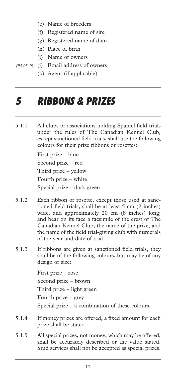- (e) Name of breeders
- (f) Registered name of sire
- (g) Registered name of dam
- (h) Place of birth
- (i) Name of owners
- (j) Email address of owners *(95-05-19)* 
	- (k) Agent (if applicable)

### *5 RIBBONS & PRIZES*

5.1.1 All clubs or associations holding Spaniel field trials under the rules of The Canadian Kennel Club, except sanctioned field trials, shall use the following colours for their prize ribbons or rosettes:

> First prize – blue Second prize – red Third prize – yellow Fourth prize – white Special prize – dark green

- 5.1.2 Each ribbon or rosette, except those used at sanctioned field trials, shall be at least 5 cm (2 inches) wide, and approximately 20 cm (8 inches) long; and bear on its face a facsimile of the crest of The Canadian Kennel Club, the name of the prize, and the name of the field trial-giving club with numerals of the year and date of trial.
- 5.1.3 If ribbons are given at sanctioned field trials, they shall be of the following colours, but may be of any design or size:

First prize – rose Second prize – brown Third prize – light green Fourth prize – grey Special prize – a combination of these colours.

- 5.1.4 If money prizes are offered, a fixed amount for each prize shall be stated.
- 5.1.5 All special prizes, not money, which may be offered, shall be accurately described or the value stated. Stud services shall not be accepted as special prizes.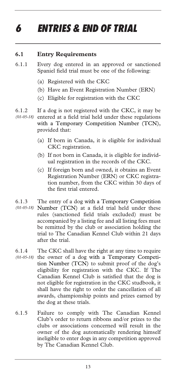# *6 ENTRIES & END OF TRIAL*

#### **6.1 Entry Requirements**

- 6.1.1 Every dog entered in an approved or sanctioned Spaniel field trial must be one of the following:
	- (a) Registered with the CKC
	- (b) Have an Event Registration Number (ERN)
	- (c) Eligible for registration with the CKC
- 6.1.2 If a dog is not registered with the CKC, it may be (01-05-18) entered at a field trial held under these regulations with a Temporary Competition Number (TCN), provided that:
	- (a) If born in Canada, it is eligible for individual CKC registration.
	- (b) If not born in Canada, it is eligible for individual registration in the records of the CKC.
	- (c) If foreign born and owned, it obtains an Event Registration Number (ERN) or CKC registration number, from the CKC within 30 days of the first trial entered.
- 6.1.3 The entry of a dog with a Temporary Competition Number (TCN) at a field trial held under these *(01-05-18)*  rules (sanctioned field trials excluded) must be accompanied by a listing fee and all listing fees must be remitted by the club or association holding the trial to The Canadian Kennel Club within 21 days after the trial.
- 6.1.4 The CKC shall have the right at any time to require (01-05-18) the owner of a dog with a Temporary Competition Number (TCN) to submit proof of the dog's eligibility for registration with the CKC. If The Canadian Kennel Club is satisfied that the dog is not eligible for registration in the CKC studbook, it shall have the right to order the cancellation of all awards, championship points and prizes earned by the dog at these trials.
- 6.1.5 Failure to comply with The Canadian Kennel Club's order to return ribbons and/or prizes to the clubs or associations concerned will result in the owner of the dog automatically rendering himself ineligible to enter dogs in any competition approved by The Canadian Kennel Club.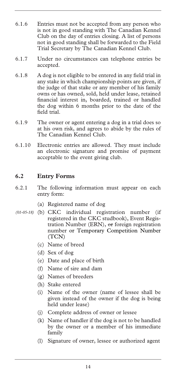- 6.1.6 Entries must not be accepted from any person who is not in good standing with The Canadian Kennel Club on the day of entries closing. A list of persons not in good standing shall be forwarded to the Field Trial Secretary by The Canadian Kennel Club.
- 6.1.7 Under no circumstances can telephone entries be accepted.
- 6.1.8 A dog is not eligible to be entered in any field trial in any stake in which championship points are given, if the judge of that stake or any member of his family owns or has owned, sold, held under lease, retained financial interest in, boarded, trained or handled the dog within 6 months prior to the date of the field trial.
- 6.1.9 The owner or agent entering a dog in a trial does so at his own risk, and agrees to abide by the rules of The Canadian Kennel Club.
- 6.1.10 Electronic entries are allowed. They must include an electronic signature and promise of payment acceptable to the event giving club.

#### **6.2 Entry Forms**

- 6.2.1 The following information must appear on each entry form:
	- (a) Registered name of dog
- (b) CKC individual registration number (if *(01-05-18)* registered in the CKC studbook), Event Registration Number (ERN), or foreign registration number or Temporary Competition Number (TCN)
	- (c) Name of breed
	- (d) Sex of dog
	- (e) Date and place of birth
	- (f) Name of sire and dam
	- (g) Names of breeders
	- (h) Stake entered
	- (i) Name of the owner (name of lessee shall be given instead of the owner if the dog is being held under lease)
	- (j) Complete address of owner or lessee
	- (k) Name of handler if the dog is not to be handled by the owner or a member of his immediate family
	- (l) Signature of owner, lessee or authorized agent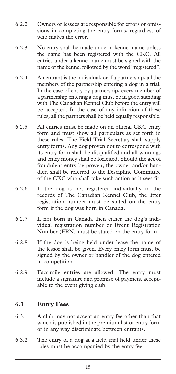- 6.2.2 Owners or lessees are responsible for errors or omissions in completing the entry forms, regardless of who makes the error.
- 6.2.3 No entry shall be made under a kennel name unless the name has been registered with the CKC. All entries under a kennel name must be signed with the name of the kennel followed by the word "registered".
- 6.2.4 An entrant is the individual, or if a partnership, all the members of the partnership entering a dog in a trial. In the case of entry by partnership, every member of a partnership entering a dog must be in good standing with The Canadian Kennel Club before the entry will be accepted. In the case of any infraction of these rules, all the partners shall be held equally responsible.
- 6.2.5 All entries must be made on an official CKC entry form and must show all particulars as set forth in these rules. The Field Trial Secretary shall supply entry forms. Any dog proven not to correspond with its entry form shall be disqualified and all winnings and entry money shall be forfeited. Should the act of fraudulent entry be proven, the owner and/or handler, shall be referred to the Discipline Committee of the CKC who shall take such action as it sees fit.
- 6.2.6 If the dog is not registered individually in the records of The Canadian Kennel Club, the litter registration number must be stated on the entry form if the dog was born in Canada.
- 6.2.7 If not born in Canada then either the dog's individual registration number or Event Registration Number (ERN) must be stated on the entry form.
- 6.2.8 If the dog is being held under lease the name of the lessor shall be given. Every entry form must be signed by the owner or handler of the dog entered in competition.
- 6.2.9 Facsimile entries are allowed. The entry must include a signature and promise of payment acceptable to the event giving club.

#### **6.3 Entry Fees**

- 6.3.1 A club may not accept an entry fee other than that which is published in the premium list or entry form or in any way discriminate between entrants.
- 6.3.2 The entry of a dog at a field trial held under these rules must be accompanied by the entry fee.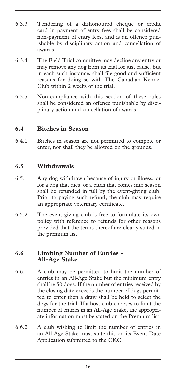- 6.3.3 Tendering of a dishonoured cheque or credit card in payment of entry fees shall be considered non-payment of entry fees, and is an offence punishable by disciplinary action and cancellation of awards.
- 6.3.4 The Field Trial committee may decline any entry or may remove any dog from its trial for just cause, but in each such instance, shall file good and sufficient reasons for doing so with The Canadian Kennel Club within 2 weeks of the trial.
- 6.3.5 Non-compliance with this section of these rules shall be considered an offence punishable by disciplinary action and cancellation of awards.

#### **6.4 Bitches in Season**

6.4.1 Bitches in season are not permitted to compete or enter, nor shall they be allowed on the grounds.

#### **6.5 Withdrawals**

- 6.5.1 Any dog withdrawn because of injury or illness, or for a dog that dies, or a bitch that comes into season shall be refunded in full by the event-giving club. Prior to paying such refund, the club may require an appropriate veterinary certificate.
- 6.5.2 The event-giving club is free to formulate its own policy with reference to refunds for other reasons provided that the terms thereof are clearly stated in the premium list.

#### **6.6 Limiting Number of Entries - All-Age Stake**

- 6.6.1 A club may be permitted to limit the number of entries in an All-Age Stake but the minimum entry shall be 50 dogs. If the number of entries received by the closing date exceeds the number of dogs permitted to enter then a draw shall be held to select the dogs for the trial. If a host club chooses to limit the number of entries in an All-Age Stake, the appropriate information must be stated on the Premium list.
- 6.6.2 A club wishing to limit the number of entries in an All-Age Stake must state this on its Event Date Application submitted to the CKC.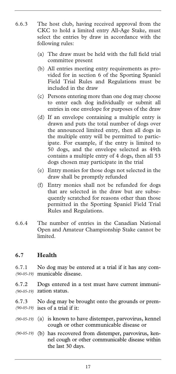- 6.6.3 The host club, having received approval from the CKC to hold a limited entry All-Age Stake, must select the entries by draw in accordance with the following rules:
	- (a) The draw must be held with the full field trial committee present
	- (b) All entries meeting entry requirements as provided for in section 6 of the Sporting Spaniel Field Trial Rules and Regulations must be included in the draw
	- (c) Persons entering more than one dog may choose to enter each dog individually or submit all entries in one envelope for purposes of the draw
	- (d) If an envelope containing a multiple entry is drawn and puts the total number of dogs over the announced limited entry, then all dogs in the multiple entry will be permitted to participate. For example, if the entry is limited to 50 dogs, and the envelope selected as 49th contains a multiple entry of 4 dogs, then all 53 dogs chosen may participate in the trial
	- (e) Entry monies for those dogs not selected in the draw shall be promptly refunded
	- (f) Entry monies shall not be refunded for dogs that are selected in the draw but are subsequently scratched for reasons other than those permitted in the Sporting Spaniel Field Trial Rules and Regulations.
- 6.6.4 The number of entries in the Canadian National Open and Amateur Championship Stake cannot be limited.

#### **6.7 Health**

6.7.1 No dog may be entered at a trial if it has any communicable disease. *(90-05-19)* 

6.7.2 Dogs entered in a test must have current immunization status. *(90-05-19)* 

6.7.3 No dog may be brought onto the grounds or premises of a trial if it: *(90-05-19)* 

- (a) is known to have distemper, parvovirus, kennel *(90-05-19)*  cough or other communicable disease or
- (b) has recovered from distemper, parvovirus, ken-*(90-05-19)* nel cough or other communicable disease within the last 30 days.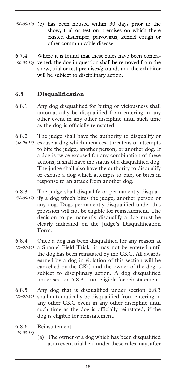- (90-05-19) (c) has been housed within 30 days prior to the show, trial or test on premises on which there existed distemper, parvovirus, kennel cough or other communicable disease.
- 6.7.4 Where it is found that these rules have been contra-(90-05-19) vened, the dog in question shall be removed from the show, trial or test premises/grounds and the exhibitor will be subject to disciplinary action.

#### **6.8 Disqualification**

- 6.8.1 Any dog disqualified for biting or viciousness shall automatically be disqualified from entering in any other event in any other discipline until such time as the dog is officially reinstated.
- 6.8.2 The judge shall have the authority to disqualify or (58-06-17) excuse a dog which menaces, threatens or attempts to bite the judge, another person, or another dog. If a dog is twice excused for any combination of these actions, it shall have the status of a disqualified dog. The judge shall also have the authority to disqualify or excuse a dog which attempts to bite, or bites in response to an attack from another dog.
- 6.8.3 The judge shall disqualify or permanently disqualify a dog which bites the judge, another person or any dog. Dogs permanently disqualified under this provision will not be eligible for reinstatement. The decision to permanently disqualify a dog must be clearly indicated on the Judge's Disqualification Form. *(58-06-17)*
- 6.8.4 Once a dog has been disqualified for any reason at a Spaniel Field Trial, it may not be entered until the dog has been reinstated by the CKC. All awards earned by a dog in violation of this section will be cancelled by the CKC and the owner of the dog is subject to disciplinary action. A dog disqualified under section 6.8.3 is not eligible for reinstatement. *(19-03-16)*
- 6.8.5 Any dog that is disqualified under section 6.8.3 shall automatically be disqualified from entering in *(19-03-16)*  any other CKC event in any other discipline until such time as the dog is officially reinstated, if the dog is eligible for reinstatement.
- 6.8.6 Reinstatement
- *(19-03-16)*
- (a) The owner of a dog which has been disqualified at an event trial held under these rules may, after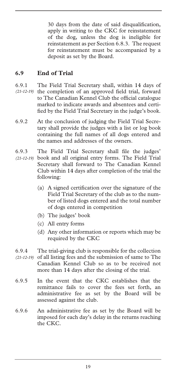30 days from the date of said disqualification, apply in writing to the CKC for reinstatement of the dog, unless the dog is ineligible for reinstatement as per Section 6.8.3. The request for reinstatement must be accompanied by a deposit as set by the Board.

#### **6.9 End of Trial**

- 6.9.1 The Field Trial Secretary shall, within 14 days of (21-12-19) the completion of an approved field trial, forward to The Canadian Kennel Club the official catalogue marked to indicate awards and absentees and certified by the Field Trial Secretary in the judge's book.
- 6.9.2 At the conclusion of judging the Field Trial Secretary shall provide the judges with a list or log book containing the full names of all dogs entered and the names and addresses of the owners.
- 6.9.3 The Field Trial Secretary shall file the judges'
- book and all original entry forms. The Field Trial *(21-12-19)*  Secretary shall forward to The Canadian Kennel Club within 14 days after completion of the trial the following:
	- (a) A signed certification over the signature of the Field Trial Secretary of the club as to the number of listed dogs entered and the total number of dogs entered in competition
	- (b) The judges' book
	- (c) All entry forms
	- (d) Any other information or reports which may be required by the CKC
- 6.9.4 The trial-giving club is responsible for the collection of all listing fees and the submission of same to The Canadian Kennel Club so as to be received not more than 14 days after the closing of the trial. *(21-12-19)*
- 6.9.5 In the event that the CKC establishes that the remittance fails to cover the fees set forth, an administrative fee as set by the Board will be assessed against the club.
- 6.9.6 An administrative fee as set by the Board will be imposed for each day's delay in the returns reaching the CKC.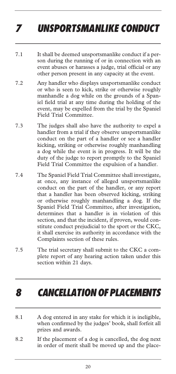# *7 UNSPORTSMANLIKE CONDUCT*

- 7.1 It shall be deemed unsportsmanlike conduct if a person during the running of or in connection with an event abuses or harasses a judge, trial official or any other person present in any capacity at the event.
- 7.2 Any handler who displays unsportsmanlike conduct or who is seen to kick, strike or otherwise roughly manhandle a dog while on the grounds of a Spaniel field trial at any time during the holding of the event, may be expelled from the trial by the Spaniel Field Trial Committee.
- 7.3 The judges shall also have the authority to expel a handler from a trial if they observe unsportsmanlike conduct on the part of a handler or see a handler kicking, striking or otherwise roughly manhandling a dog while the event is in progress. It will be the duty of the judge to report promptly to the Spaniel Field Trial Committee the expulsion of a handler.
- 7.4 The Spaniel Field Trial Committee shall investigate, at once, any instance of alleged unsportsmanlike conduct on the part of the handler, or any report that a handler has been observed kicking, striking or otherwise roughly manhandling a dog. If the Spaniel Field Trial Committee, after investigation, determines that a handler is in violation of this section, and that the incident, if proven, would constitute conduct prejudicial to the sport or the CKC, it shall exercise its authority in accordance with the Complaints section of these rules.
- 7.5 The trial secretary shall submit to the CKC a complete report of any hearing action taken under this section within 21 days.

### *8 CANCELLATION OF PLACEMENTS*

- 8.1 A dog entered in any stake for which it is ineligible, when confirmed by the judges' book, shall forfeit all prizes and awards.
- 8.2 If the placement of a dog is cancelled, the dog next in order of merit shall be moved up and the place-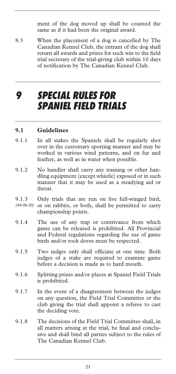ment of the dog moved up shall be counted the same as if it had been the original award.

8.3 When the placement of a dog is cancelled by The Canadian Kennel Club, the entrant of the dog shall return all awards and prizes for such win to the field trial secretary of the trial-giving club within 10 days of notification by The Canadian Kennel Club.

### *9 SPECIAL RULES FOR SPANIEL FIELD TRIALS*

#### **9.1 Guidelines**

- 9.1.1 In all stakes the Spaniels shall be regularly shot over in the customary sporting manner and may be worked in various wind patterns, and on fur and feather, as well as in water when possible.
- 9.1.2 No handler shall carry any training or other handling equipment (except whistle) exposed or in such manner that it may be used as a steadying aid or threat.
- 9.1.3 Only trials that are run on live full-winged bird, or on rabbits, or both, shall be permitted to carry championship points. *(64-06-20)*
- 9.1.4 The use of any trap or contrivance from which game can be released is prohibited. All Provincial and Federal regulations regarding the use of game birds and/or rock doves must be respected.
- 9.1.5 Two judges only shall officiate at one time. Both judges of a stake are required to examine game before a decision is made as to hard mouth.
- 9.1.6 Splitting prizes and/or places at Spaniel Field Trials is prohibited.
- 9.1.7 In the event of a disagreement between the judges on any question, the Field Trial Committee or the club giving the trial shall appoint a referee to cast the deciding vote.
- 9.1.8 The decisions of the Field Trial Committee shall, in all matters arising at the trial, be final and conclusive and shall bind all parties subject to the rules of The Canadian Kennel Club.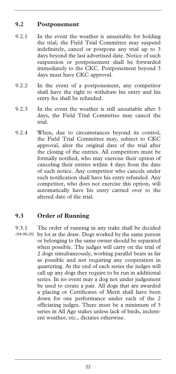#### **9.2 Postponement**

- 9.2.1 In the event the weather is unsuitable for holding the trial, the Field Trial Committee may suspend indefinitely, cancel or postpone any trial up to 3 days beyond the last advertised date. Notice of such suspension or postponement shall be forwarded immediately to the CKC. Postponement beyond 3 days must have CKC approval.
- 9.2.2 In the event of a postponement, any competitor shall have the right to withdraw his entry and his entry fee shall be refunded.
- 9.2.3 In the event the weather is still unsuitable after 3 days, the Field Trial Committee may cancel the trial.
- 9.2.4 When, due to circumstances beyond its control, the Field Trial Committee may, subject to CKC approval, alter the original date of the trial after the closing of the entries. All competitors must be formally notified, who may exercise their option of canceling their entries within 4 days from the date of such notice. Any competitor who cancels under such notification shall have his entry refunded. Any competitor, who does not exercise this option, will automatically have his entry carried over to the altered date of the trial.

#### **9.3 Order of Running**

9.3.1 The order of running in any stake shall be decided by lot at the draw. Dogs worked by the same person *(64-06-20)* or belonging to the same owner should be separated when possible. The judges will carry on the trial of 2 dogs simultaneously, working parallel beats as far as possible and not requiring any cooperation in quartering. At the end of each series the judges will call up any dogs they require to be run in additional series. In no event may a dog not under judgement be used to create a pair. All dogs that are awarded a placing or Certificates of Merit shall have been down for one performance under each of the 2 officiating judges. There must be a minimum of 3 series in All Age stakes unless lack of birds, inclement weather, etc., dictates otherwise.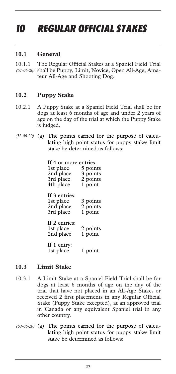# *10 REGULAR OFFICIAL STAKES*

#### **10.1 General**

10.1.1 The Regular Official Stakes at a Spaniel Field Trial shall be Puppy, Limit, Novice, Open All-Age, Ama-*(51-06-20)*  teur All-Age and Shooting Dog.

#### **10.2 Puppy Stake**

- 10.2.1 A Puppy Stake at a Spaniel Field Trial shall be for dogs at least 6 months of age and under 2 years of age on the day of the trial at which the Puppy Stake is judged.
- (52-06-20) (a) The points earned for the purpose of calculating high point status for puppy stake/ limit stake be determined as follows:

| If 4 or more entries:<br>1st place<br>2nd place<br>3rd place<br>4th place | 5 points<br>3 points<br>2 points<br>1 point |
|---------------------------------------------------------------------------|---------------------------------------------|
| If 3 entries:<br>1st place<br>2nd place<br>3rd place                      | 3 points<br>2 points<br>1 point             |
| If 2 entries:<br>1st place<br>2nd place                                   | 2 points<br>1 point                         |
| If 1 entry:<br>1st place                                                  | l point                                     |

#### **10.3 Limit Stake**

- 10.3.1 A Limit Stake at a Spaniel Field Trial shall be for dogs at least 6 months of age on the day of the trial that have not placed in an All-Age Stake, or received 2 first placements in any Regular Official Stake (Puppy Stake excepted), at an approved trial in Canada or any equivalent Spaniel trial in any other country.
- (53-06-20) (a) The points earned for the purpose of calculating high point status for puppy stake/ limit stake be determined as follows: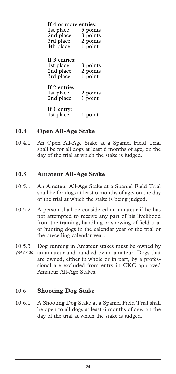| If 4 or more entries:<br>1st place<br>2nd place<br>3rd place<br>4th place | 5 points<br>3 points<br>2 points<br>1 point |
|---------------------------------------------------------------------------|---------------------------------------------|
| If 3 entries:<br>1st place<br>2nd place<br>3rd place                      | 3 points<br>2 points<br>1 point             |
| If 2 entries:<br>1st place<br>2nd place                                   | 2 points<br>1 point                         |
| If 1 entry:<br>1st place                                                  | l point                                     |

#### **10.4 Open All-Age Stake**

10.4.1 An Open All-Age Stake at a Spaniel Field Trial shall be for all dogs at least 6 months of age, on the day of the trial at which the stake is judged.

#### **10.5 Amateur All-Age Stake**

- 10.5.1 An Amateur All-Age Stake at a Spaniel Field Trial shall be for dogs at least 6 months of age, on the day of the trial at which the stake is being judged.
- 10.5.2 A person shall be considered an amateur if he has not attempted to receive any part of his livelihood from the training, handling or showing of field trial or hunting dogs in the calendar year of the trial or the preceding calendar year.
- 10.5.3 Dog running in Amateur stakes must be owned by (64-06-20) an amateur and handled by an amateur. Dogs that are owned, either in whole or in part, by a professional are excluded from entry in CKC approved Amateur All-Age Stakes.

#### 10.6 **Shooting Dog Stake**

10.6.1 A Shooting Dog Stake at a Spaniel Field Trial shall be open to all dogs at least 6 months of age, on the day of the trial at which the stake is judged.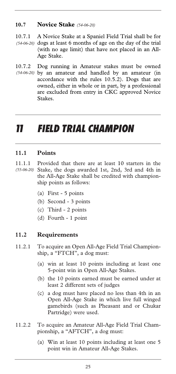#### **10.7 Novice Stake** *(54-06-20)*

10.7.1 A Novice Stake at a Spaniel Field Trial shall be for  $(54-06-20)$  dogs at least 6 months of age on the day of the trial (with no age limit) that have not placed in an All-Age Stake.

10.7.2 Dog running in Amateur stakes must be owned by an amateur and handled by an amateur (in *(54-06-20)*  accordance with the rules 10.5.2). Dogs that are owned, either in whole or in part, by a professional are excluded from entry in CKC approved Novice Stakes.

### *11 FIELD TRIAL CHAMPION*

#### **11.1 Points**

- 11.1.1 Provided that there are at least 10 starters in the Stake, the dogs awarded 1st, 2nd, 3rd and 4th in *(55-06-20)* the All-Age Stake shall be credited with championship points as follows:
	- (a) First 5 points
	- (b) Second 3 points
	- (c) Third 2 points
	- (d) Fourth 1 point

#### **11.2 Requirements**

- 11.2.1 To acquire an Open All-Age Field Trial Championship, a "FTCH", a dog must:
	- (a) win at least 10 points including at least one 5-point win in Open All-Age Stakes.
	- (b) the 10 points earned must be earned under at least 2 different sets of judges
	- (c) a dog must have placed no less than 4th in an Open All-Age Stake in which live full winged gamebirds (such as Pheasant and or Chukar Partridge) were used.
- 11.2.2 To acquire an Amateur All-Age Field Trial Championship, a "AFTCH", a dog must:
	- (a) Win at least 10 points including at least one 5 point win in Amateur All-Age Stakes.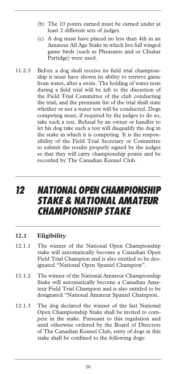- (b) The 10 points earned must be earned under at least 2 different sets of judges.
- (c) A dog must have placed no less than 4th in an Amateur All Age Stake in which live full winged game birds (such as Pheasants and or Chukar Partidge) were used.
- 11.2.3 Before a dog shall receive its field trial championship it must have shown its ability to retrieve game from water, after a swim. The holding of water tests during a field trial will be left to the discretion of the Field Trial Committee of the club conducting the trial, and the premium list of the trial shall state whether or not a water test will be conducted. Dogs competing must, if required by the judges to do so, take such a test. Refusal by an owner or handler to let his dog take such a test will disqualify the dog in the stake in which it is competing. It is the responsibility of the Field Trial Secretary or Committee to submit the results properly signed by the judges so that they will carry championship points and be recorded by The Canadian Kennel Club.

### *12 NATIONAL OPEN CHAMPIONSHIP STAKE & NATIONAL AMATEUR CHAMPIONSHIP STAKE*

#### **12.1 Eligibility**

- 12.1.1 The winner of the National Open Championship stake will automatically become a Canadian Open Field Trial Champion and is also entitled to be designated "National Open Spaniel Champion".
- 12.1.2 The winner of the National Amateur Championship Stake will automatically become a Canadian Amateur Field Trial Champion and is also entitled to be designated "National Amateur Spaniel Champion.
- 12.1.3 The dog declared the winner of the last National Open Championship Stake shall be invited to compete in the stake. Pursuant to this regulation and until otherwise ordered by the Board of Directors of The Canadian Kennel Club, entry of dogs in this stake shall be confined to the following dogs: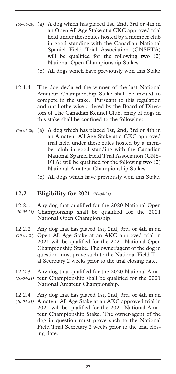- (56-06-20) (a) A dog which has placed 1st, 2nd, 3rd or 4th in an Open All Age Stake at a CKC approved trial held under these rules hosted by a member club in good standing with the Canadian National Spaniel Field Trial Association (CNSFTA) will be qualified for the following two  $(2)$ National Open Championship Stakes.
	- (b) All dogs which have previously won this Stake
- 12.1.4 The dog declared the winner of the last National Amateur Championship Stake shall be invited to compete in the stake. Pursuant to this regulation and until otherwise ordered by the Board of Directors of The Canadian Kennel Club, entry of dogs in this stake shall be confined to the following:
- (56-06-20) (a) A dog which has placed 1st, 2nd, 3rd or 4th in an Amateur All Age Stake at a CKC approved trial held under these rules hosted by a member club in good standing with the Canadian National Spaniel Field Trial Association (CNS-FTA) will be qualified for the following two (2) National Amateur Championship Stakes.
	- (b) All dogs which have previously won this Stake.

#### **12.2 Eligibility for 2021** *(10-04-21)*

- 12.2.1 Any dog that qualified for the 2020 National Open Championship shall be qualified for the 2021 *(10-04-21)*  National Open Championship.
- 12.2.2 Any dog that has placed 1st, 2nd, 3rd, or 4th in an Open All Age Stake at an AKC approved trial in *(10-04-21)*  2021 will be qualified for the 2021 National Open Championship Stake. The owner/agent of the dog in question must prove such to the National Field Trial Secretary 2 weeks prior to the trial closing date.
- 12.2.3 Any dog that qualified for the 2020 National Ama-(10-04-21) teur Championship shall be qualified for the 2021 National Amateur Championship.
- 12.2.4 Any dog that has placed 1st, 2nd, 3rd, or 4th in an Amateur All Age Stake at an AKC approved trial in *(10-04-21)* 2021 will be qualified for the 2021 National Amateur Championship Stake. The owner/agent of the dog in question must prove such to the National Field Trial Secretary 2 weeks prior to the trial closing date.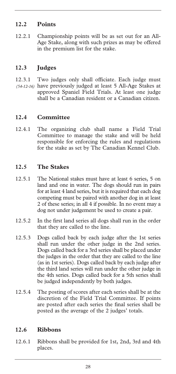#### **12.2 Points**

12.2.1 Championship points will be as set out for an All-Age Stake, along with such prizes as may be offered in the premium list for the stake.

#### **12.3 Judges**

12.3.1 Two judges only shall officiate. Each judge must (54-12-16) have previously judged at least 5 All-Age Stakes at approved Spaniel Field Trials. At least one judge shall be a Canadian resident or a Canadian citizen.

#### **12.4 Committee**

12.4.1 The organizing club shall name a Field Trial Committee to manage the stake and will be held responsible for enforcing the rules and regulations for the stake as set by The Canadian Kennel Club.

#### **12.5 The Stakes**

- 12.5.1 The National stakes must have at least 6 series, 5 on land and one in water. The dogs should run in pairs for at least 4 land series, but it is required that each dog competing must be paired with another dog in at least 2 of these series; in all 4 if possible. In no event may a dog not under judgement be used to create a pair.
- 12.5.2 In the first land series all dogs shall run in the order that they are called to the line.
- 12.5.3 Dogs called back by each judge after the 1st series shall run under the other judge in the 2nd series. Dogs called back for a 3rd series shall be placed under the judges in the order that they are called to the line (as in 1st series). Dogs called back by each judge after the third land series will run under the other judge in the 4th series. Dogs called back for a 5th series shall be judged independently by both judges.
- 12.5.4 The posting of scores after each series shall be at the discretion of the Field Trial Committee. If points are posted after each series the final series shall be posted as the average of the 2 judges' totals.

#### **12.6 Ribbons**

12.6.1 Ribbons shall be provided for 1st, 2nd, 3rd and 4th places.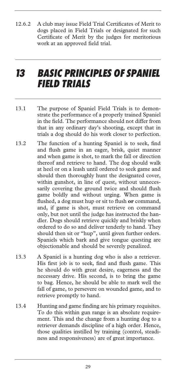12.6.2 A club may issue Field Trial Certificates of Merit to dogs placed in Field Trials or designated for such Certificate of Merit by the judges for meritorious work at an approved field trial.

### *13 BASIC PRINCIPLES OF SPANIEL FIELD TRIALS*

- 13.1 The purpose of Spaniel Field Trials is to demonstrate the performance of a properly trained Spaniel in the field. The performance should not differ from that in any ordinary day's shooting, except that in trials a dog should do his work closer to perfection.
- 13.2 The function of a hunting Spaniel is to seek, find and flush game in an eager, brisk, quiet manner and when game is shot, to mark the fall or direction thereof and retrieve to hand. The dog should walk at heel or on a leash until ordered to seek game and should then thoroughly hunt the designated cover, within gunshot, in line of quest, without unnecessarily covering the ground twice and should flush game boldly and without urging. When game is flushed, a dog must hup or sit to flush **or** command, and, if game is shot, must retrieve on command only, but not until the judge has instructed the handler. Dogs should retrieve quickly and briskly when ordered to do so and deliver tenderly to hand. They should then sit or "hup", until given further orders. Spaniels which bark and give tongue questing are objectionable and should be severely penalized.
- 13.3 A Spaniel is a hunting dog who is also a retriever. His first job is to seek, find and flush game. This he should do with great desire, eagerness and the necessary drive. His second, is to bring the game to bag. Hence, he should be able to mark well the fall of game, to persevere on wounded game, and to retrieve promptly to hand.
- 13.4 Hunting and game finding are his primary requisites. To do this within gun range is an absolute requirement. This and the change from a hunting dog to a retriever demands discipline of a high order. Hence, those qualities instilled by training (control, steadiness and responsiveness) are of great importance.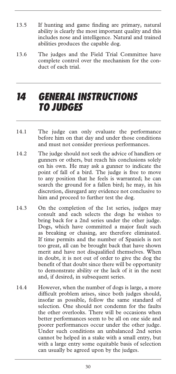- 13.5 If hunting and game finding are primary, natural ability is clearly the most important quality and this includes nose and intelligence. Natural and trained abilities produces the capable dog.
- 13.6 The judges and the Field Trial Committee have complete control over the mechanism for the conduct of each trial.

### *14 GENERAL INSTRUCTIONS TO JUDGES*

- 14.1 The judge can only evaluate the performance before him on that day and under those conditions and must not consider previous performances.
- 14.2 The judge should not seek the advice of handlers or gunners or others, but reach his conclusions solely on his own. He may ask a gunner to indicate the point of fall of a bird. The judge is free to move to any position that he feels is warranted; he can search the ground for a fallen bird; he may, in his discretion, disregard any evidence not conclusive to him and proceed to further test the dog.
- 14.3 On the completion of the 1st series, judges may consult and each selects the dogs he wishes to bring back for a 2nd series under the other judge. Dogs, which have committed a major fault such as breaking or chasing, are therefore eliminated. If time permits and the number of Spaniels is not too great, all can be brought back that have shown merit and have not disqualified themselves. When in doubt, it is not out of order to give the dog the benefit of that doubt since there will be opportunity to demonstrate ability or the lack of it in the next and, if desired, in subsequent series.
- 14.4 However, when the number of dogs is large, a more difficult problem arises, since both judges should, insofar as possible, follow the same standard of selection. One should not condemn for the faults the other overlooks. There will be occasions when better performances seem to be all on one side and poorer performances occur under the other judge. Under such conditions an unbalanced 2nd series cannot be helped in a stake with a small entry, but with a large entry some equitable basis of selection can usually be agreed upon by the judges.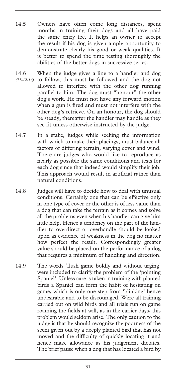- 14.5 Owners have often come long distances, spent months in training their dogs and all have paid the same entry fee. It helps an owner to accept the result if his dog is given ample opportunity to demonstrate clearly his good or weak qualities. It is better to spend the time testing thoroughly the abilities of the better dogs in successive series.
- 14.6 When the judge gives a line to a handler and dog (55-12-16) to follow, this must be followed and the dog not allowed to interfere with the other dog running parallel to him. The dog must "honour" the other dog's work. He must not have any forward motion when a gun is fired and must not interfere with the other dog's retrieve. On an honour, the dog should be steady, thereafter the handler may handle as they see fit unless otherwise instructed by the judge.
- 14.7 In a stake, judges while seeking the information with which to make their placings, must balance all factors of differing terrain, varying cover and wind. There are judges who would like to reproduce as nearly as possible the same conditions and tests for each dog since that indeed would simplify their job. This approach would result in artificial rather than natural conditions.
- 14.8 Judges will have to decide how to deal with unusual conditions. Certainly one that can be effective only in one type of cover or the other is of less value than a dog that can take the terrain as it comes and solve all the problems even when his handler can give him little help. Hence a tendency on the part of the handler to overdirect or overhandle should be looked upon as evidence of weakness in the dog no matter how perfect the result. Correspondingly greater value should be placed on the performance of a dog that requires a minimum of handling and direction.
- 14.9 The words 'flush game boldly and without urging' were included to clarify the problem of the 'pointing Spaniel'. Unless care is taken in training with planted birds a Spaniel can form the habit of hesitating on game, which is only one step from 'blinking' hence undesirable and to be discouraged. Were all training carried out on wild birds and all trials run on game roaming the fields at will, as in the earlier days, this problem would seldom arise. The only caution to the judge is that he should recognize the poorness of the scent given out by a deeply planted bird that has not moved and the difficulty of quickly locating it and hence make allowance as his judgement dictates. The brief pause when a dog that has located a bird by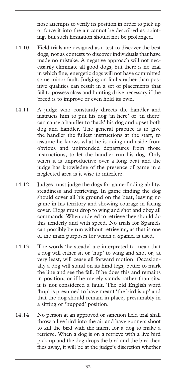nose attempts to verify its position in order to pick up or force it into the air cannot be described as pointing, but such hesitation should not be prolonged.

- 14.10 Field trials are designed as a test to discover the best dogs, not as contests to discover individuals that have made no mistake. A negative approach will not necessarily eliminate all good dogs, but there is no trial in which fine, energetic dogs will not have committed some minor fault. Judging on faults rather than positive qualities can result in a set of placements that fail to possess class and hunting drive necessary if the breed is to improve or even hold its own.
- 14.11 A judge who constantly directs the handler and instructs him to put his dog 'in here' or 'in there' can cause a handler to 'hack' his dog and upset both dog and handler. The general practice is to give the handler the fullest instructions at the start, to assume he knows what he is doing and aside from obvious and unintended departures from those instructions, to let the handler run his dog. Only when it is unproductive over a long beat and the judge has knowledge of the presence of game in a neglected area is it wise to interfere.
- 14.12 Judges must judge the dogs for game-finding ability, steadiness and retrieving. In game finding the dog should cover all his ground on the beat, leaving no game in his territory and showing courage in facing cover. Dogs must drop to wing and shot and obey all commands. When ordered to retrieve they should do this tenderly and with speed. No trials for Spaniels can possibly be run without retrieving, as that is one of the main purposes for which a Spaniel is used.
- 14.13 The words 'be steady' are interpreted to mean that a dog will either sit or 'hup' to wing and shot or, at very least, will cease all forward motion. Occasionally a dog will stand on its hind legs, better to mark the line and see the fall. If he does this and remains in position, or if he merely stands rather than sits, it is not considered a fault. The old English word 'hup' is presumed to have meant 'the bird is up' and that the dog should remain in place, presumably in a sitting or 'hupped' position.
- 14.14 No person at an approved or sanction field trial shall throw a live bird into the air and have gunners shoot to kill the bird with the intent for a dog to make a retrieve. When a dog is on a retrieve with a live bird pick-up and the dog drops the bird and the bird then flies away, it will be at the judge's discretion whether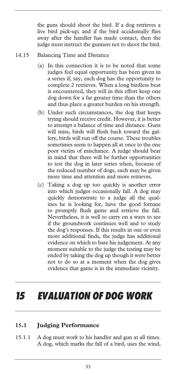the guns should shoot the bird. If a dog retrieves a live bird pick-up; and if the bird accidentally flies away after the handler has made contact, then the judge must instruct the gunners not to shoot the bird.

#### 14.15 Balancing Time and Distance

- (a) In this connection it is to be noted that some judges feel equal opportunity has been given in a series if, say, each dog has the opportunity to complete 2 retrieves. When a long birdless beat is encountered, they will in this effort keep one dog down for a far greater time than the others and thus place a greater burden on his strength.
- (b) Under such circumstances, the dog that keeps trying should receive credit. However, it is better to attempt a balance of time and distance. Guns will miss, birds will flush back toward the gallery, birds will run off the course. These troubles sometimes seem to happen all at once to the one poor victim of mischance. A judge should bear in mind that there will be further opportunities to test the dog in later series when, because of the reduced number of dogs, each may be given more time and attention and more retrieves.
- (c) Taking a dog up too quickly is another error into which judges occasionally fall. A dog may quickly demonstrate to a judge all the qualities he is looking for, have the good fortune to promptly flush game and retrieve the fall. Nevertheless, it is well to carry on a ways to see if the groundwork continues well and to study the dog's responses. If this results in one or even more additional finds, the judge has additional evidence on which to base his judgement. At any moment suitable to the judge the testing may be ended by taking the dog up though it were better not to do so at a moment when the dog gives evidence that game is in the immediate vicinity.

# *15 EVALUATION OF DOG WORK*

#### **15.1 Judging Performance**

15.1.1 A dog must work to his handler and gun at all times. A dog, which marks the fall of a bird, uses the wind,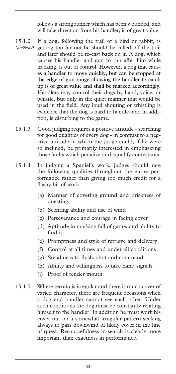follows a strong runner which has been wounded, and will take direction from his handler, is of great value.

- 15.1.2 If a dog, following the trail of a bird or rabbit, is getting too far out he should be called off the trail and later should be re-cast back on it. A dog, which causes his handler and gun to run after him while tracking, is out of control. However, a dog that causes a handler to move quickly, but can be stopped at the edge of gun range allowing the handler to catch up is of great value and shall be marked accordingly. Handlers may control their dogs by hand, voice, or whistle, but only in the quiet manner that would be used in the field. Any loud shouting or whistling is evidence that the dog is hard to handle, and in addition, is disturbing to the game. *(57-06-20)*
- 15.1.3 Good judging requires a positive attitude searching for good qualities of every dog - in contrast to a negative attitude in which the judge could, if he were so inclined, be primarily interested in emphasizing those faults which penalize or disqualify contestants.
- 15.1.4 In judging a Spaniel's work, judges should rate the following qualities throughout the entire performance rather than giving too much credit for a flashy bit of work
	- (a) Manner of covering ground and briskness of questing
	- (b) Scenting ability and use of wind
	- (c) Perseverance and courage in facing cover
	- (d) Aptitude in marking fall of game, and ability to find it
	- (e) Promptness and style of retrieve and delivery
	- (f) Control at all times and under all conditions
	- (g) Steadiness to flush, shot and command
	- (h) Ability and willingness to take hand signals
	- (i) Proof of tender mouth
- 15.1.5 Where terrain is irregular and there is much cover of varied character, there are frequent occasions when a dog and handler cannot see each other. Under such conditions the dog must be constantly relating himself to the handler. In addition he must work his cover out on a somewhat irregular pattern seeking always to pass downwind of likely cover in the line of quest. Resourcefulness in search is clearly more important than exactness in performance.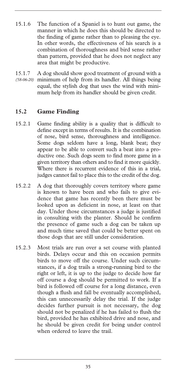- 15.1.6 The function of a Spaniel is to hunt out game, the manner in which he does this should be directed to the finding of game rather than to pleasing the eye. In other words, the effectiveness of his search is a combination of thoroughness and bird sense rather than pattern, provided that he does not neglect any area that might be productive.
- 15.1.7 A dog should show good treatment of ground with a minimum of help from its handler. All things being *(58-06-20)* equal, the stylish dog that uses the wind with minimum help from its handler should be given credit.

#### **15.2 Game Finding**

- 15.2.1 Game finding ability is a quality that is difficult to define except in terms of results. It is the combination of nose, bird sense, thoroughness and intelligence. Some dogs seldom have a long, blank beat; they appear to be able to convert such a beat into a productive one. Such dogs seem to find more game in a given territory than others and to find it more quickly. Where there is recurrent evidence of this in a trial, judges cannot fail to place this to the credit of the dog.
- 15.2.2 A dog that thoroughly covers territory where game is known to have been and who fails to give evidence that game has recently been there must be looked upon as deficient in nose, at least on that day. Under those circumstances a judge is justified in consulting with the planter. Should he confirm the presence of game such a dog can be taken up and much time saved that could be better spent on those dogs that are still under consideration.
- 15.2.3 Most trials are run over a set course with planted birds. Delays occur and this on occasion permits birds to move off the course. Under such circumstances, if a dog trails a strong-running bird to the right or left, it is up to the judge to decide how far off course a dog should be permitted to work. If a bird is followed off course for a long distance, even though a flush and fall be eventually accomplished, this can unnecessarily delay the trial. If the judge decides further pursuit is not necessary, the dog should not be penalized if he has failed to flush the bird, provided he has exhibited drive and nose, and he should be given credit for being under control when ordered to leave the trail.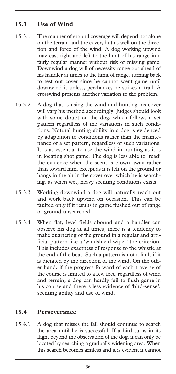#### **15.3 Use of Wind**

- 15.3.1 The manner of ground coverage will depend not alone on the terrain and the cover, but as well on the direction and force of the wind. A dog working upwind may cast right and left to the limit of his range in a fairly regular manner without risk of missing game. Downwind a dog will of necessity range out ahead of his handler at times to the limit of range, turning back to test out cover since he cannot scent game until downwind it unless, perchance, he strikes a trail. A crosswind presents another variation to the problem.
- 15.3.2 A dog that is using the wind and hunting his cover will vary his method accordingly. Judges should look with some doubt on the dog, which follows a set pattern regardless of the variations in such conditions. Natural hunting ability in a dog is evidenced by adaptation to conditions rather than the maintenance of a set pattern, regardless of such variations. It is as essential to use the wind in hunting as it is in locating shot game. The dog is less able to 'read' the evidence when the scent is blown away rather than toward him, except as it is left on the ground or hangs in the air in the cover over which he is searching, as when wet, heavy scenting conditions exists.
- 15.3.3 Working downwind a dog will naturally reach out and work back upwind on occasion. This can be faulted only if it results in game flushed out of range or ground unsearched.
- 15.3.4 When flat, level fields abound and a handler can observe his dog at all times, there is a tendency to make quartering of the ground in a regular and artificial pattern like a 'windshield-wiper' the criterion. This includes exactness of response to the whistle at the end of the beat. Such a pattern is not a fault if it is dictated by the direction of the wind. On the other hand, if the progress forward of each traverse of the course is limited to a few feet, regardless of wind and terrain, a dog can hardly fail to flush game in his course and there is less evidence of 'bird-sense', scenting ability and use of wind.

#### **15.4 Perseverance**

15.4.1 A dog that misses the fall should continue to search the area until he is successful. If a bird turns in its flight beyond the observation of the dog, it can only be located by searching a gradually widening area. When this search becomes aimless and it is evident it cannot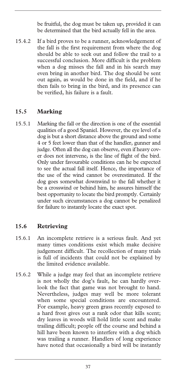be fruitful, the dog must be taken up, provided it can be determined that the bird actually fell in the area.

15.4.2 If a bird proves to be a runner, acknowledgement of the fall is the first requirement from where the dog should be able to seek out and follow the trail to a successful conclusion. More difficult is the problem when a dog misses the fall and in his search may even bring in another bird. The dog should be sent out again, as would be done in the field, and if he then fails to bring in the bird, and its presence can be verified, his failure is a fault.

#### **15.5 Marking**

15.5.1 Marking the fall or the direction is one of the essential qualities of a good Spaniel. However, the eye level of a dog is but a short distance above the ground and some 4 or 5 feet lower than that of the handler, gunner and judge. Often all the dog can observe, even if heavy cover does not intervene, is the line of flight of the bird. Only under favourable conditions can he be expected to see the actual fall itself. Hence, the importance of the use of the wind cannot be overestimated. If the dog goes somewhat downwind to the fall whether it be a crosswind or behind him, he assures himself the best opportunity to locate the bird promptly. Certainly under such circumstances a dog cannot be penalized for failure to instantly locate the exact spot.

#### **15.6 Retrieving**

- 15.6.1 An incomplete retrieve is a serious fault. And yet many times conditions exist which make decisive judgement difficult. The recollection of many trials is full of incidents that could not be explained by the limited evidence available.
- 15.6.2 While a judge may feel that an incomplete retrieve is not wholly the dog's fault, he can hardly overlook the fact that game was not brought to hand. Nevertheless, judges may well be more tolerant when some special conditions are encountered. For example, heavy green grass recently exposed to a hard frost gives out a rank odor that kills scent; dry leaves in woods will hold little scent and make trailing difficult; people off the course and behind a hill have been known to interfere with a dog which was trailing a runner. Handlers of long experience have noted that occasionally a bird will be instantly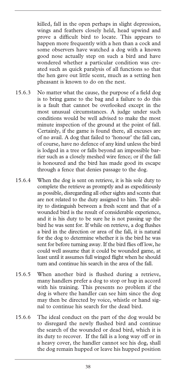killed, fall in the open perhaps in slight depression, wings and feathers closely held, head upwind and prove a difficult bird to locate. This appears to happen more frequently with a hen than a cock and some observers have watched a dog with a known good nose actually step on such a bird and have wondered whether a particular condition was created such as quick paralysis of all functions so that the hen gave out little scent, much as a setting hen pheasant is known to do on the nest.

- 15.6.3 No matter what the cause, the purpose of a field dog is to bring game to the bag and a failure to do this is a fault that cannot be overlooked except in the most unusual circumstances. A judge under such conditions would be well advised to make the most minute inspection of the ground at the point of fall. Certainly, if the game is found there, all excuses are of no avail. A dog that failed to 'honour' the fall can, of course, have no defence of any kind unless the bird is lodged in a tree or falls beyond an impossible barrier such as a closely meshed wire fence; or if the fall is honoured and the bird has made good its escape through a fence that denies passage to the dog.
- 15.6.4 When the dog is sent on retrieve, it is his sole duty to complete the retrieve as promptly and as expeditiously as possible, disregarding all other sights and scents that are not related to the duty assigned to him. The ability to distinguish between a fresh scent and that of a wounded bird is the result of considerable experience, and it is his duty to be sure he is not passing up the bird he was sent for. If while on retrieve, a dog flushes a bird in the direction or area of the fall, it is natural for the dog to determine whether it is the bird he was sent for before turning away. If the bird flies off low, he could well assume that it could be wounded game, at least until it assumes full winged flight when he should turn and continue his search in the area of the fall.
- 15.6.5 When another bird is flushed during a retrieve, many handlers prefer a dog to stop or hup in accord with his training. This presents no problem if the dog is where the handler can see him since the dog may then be directed by voice, whistle or hand signal to continue his search for the dead bird.
- 15.6.6 The ideal conduct on the part of the dog would be to disregard the newly flushed bird and continue the search of the wounded or dead bird, which it is its duty to recover. If the fall is a long way off or in a heavy cover, the handler cannot see his dog, shall the dog remain hupped or leave his hupped position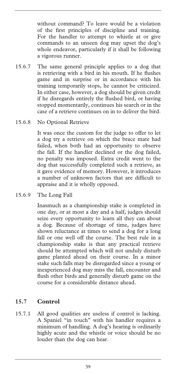without command? To leave would be a violation of the first principles of discipline and training. For the handler to attempt to whistle at or give commands to an unseen dog may upset the dog's whole endeavor, particularly if it shall be following a vigorous runner.

- 15.6.7 The same general principle applies to a dog that is retrieving with a bird in his mouth. If he flushes game and in surprise or in accordance with his training temporarily stops, he cannot be criticized. In either case, however, a dog should be given credit if he disregards entirely the flushed bird, or having stopped momentarily, continues his search or in the case of a retrieve continues on in to deliver the bird.
- 15.6.8 No Optional Retrieve

It was once the custom for the judge to offer to let a dog try a retrieve on which the brace mate had failed, when both had an opportunity to observe the fall. If the handler declined or the dog failed, no penalty was imposed. Extra credit went to the dog that successfully completed such a retrieve, as it gave evidence of memory. However, it introduces a number of unknown factors that are difficult to appraise and it is wholly opposed.

15.6.9 The Long Fall

Inasmuch as a championship stake is completed in one day, or at most a day and a half, judges should seize every opportunity to learn all they can about a dog. Because of shortage of time, judges have shown reluctance at times to send a dog for a long fall or one well off the course. The best rule in a championship stake is that any practical retrieve should be attempted which will not unduly disturb game planted ahead on their course. In a minor stake such falls may be disregarded since a young or inexperienced dog may miss the fall, encounter and flush other birds and generally disturb game on the course for a considerable distance ahead.

#### **15.7 Control**

15.7.1 All good qualities are useless if control is lacking. A Spaniel "in touch" with his handler requires a minimum of handling. A dog's hearing is ordinarily highly acute and the whistle or voice should be no louder than the dog can hear.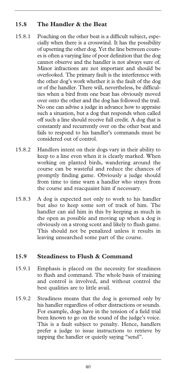#### **15.8 The Handler & the Beat**

- 15.8.1 Poaching on the other beat is a difficult subject, especially when there is a crosswind. It has the possibility of upsetting the other dog. Yet the line between courses is often a varying line of poor definition that the dog cannot observe and the handler is not always sure of. Minor infractions are not important and should be overlooked. The primary fault is the interference with the other dog's work whether it is the fault of the dog or of the handler. There will, nevertheless, be difficulties when a bird from one beat has obviously moved over onto the other and the dog has followed the trail. No one can advise a judge in advance how to appraise such a situation, but a dog that responds when called off such a line should receive full credit. A dog that is constantly and recurrently over on the other beat and fails to respond to his handler's commands must be considered out of control.
- 15.8.2 Handlers intent on their dogs vary in their ability to keep to a line even when it is clearly marked. When working on planted birds, wandering around the course can be wasteful and reduce the chances of promptly finding game. Obviously a judge should from time to time warn a handler who strays from the course and reacquaint him if necessary.
- 15.8.3 A dog is expected not only to work to his handler but also to keep some sort of track of him. The handler can aid him in this by keeping as much in the open as possible and moving up when a dog is obviously on a strong scent and likely to flush game. This should not be penalized unless it results in leaving unsearched some part of the course.

#### **15.9 Steadiness to Flush & Command**

- 15.9.1 Emphasis is placed on the necessity for steadiness to flush and command. The whole basis of training and control is involved, and without control the best qualities are to little avail.
- 15.9.2 Steadiness means that the dog is governed only by his handler regardless of other distractions or sounds. For example, dogs have in the tension of a field trial been known to go on the sound of the judge's voice. This is a fault subject to penalty. Hence, handlers prefer a judge to issue instructions to retrieve by tapping the handler or quietly saying "send".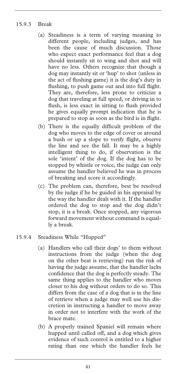#### 15.9.3 Break

- (a) Steadiness is a term of varying meaning to different people, including judges, and has been the cause of much discussion. Those who expect exact performance feel that a dog should instantly sit to wing and shot and will have no less. Others recognize that though a dog may instantly sit or 'hup' to shot (unless in the act of flushing game) it is the dog's duty in flushing, to push game out and into full flight. They are, therefore, less prone to criticize a dog that traveling at full speed, or driving in to flush, is less exact in sitting to flush provided he gives equally prompt indication that he is prepared to stop as soon as the bird is in flight.
- (b) There is the equally difficult problem of the dog who moves to the edge of cover or around a bush or up a slope to verify flight, observe the line and see the fall. It may be a highly intelligent thing to do, if observation is the sole 'intent' of the dog. If the dog has to be stopped by whistle or voice, the judge can only assume the handler believed he was in process of breaking and score it accordingly.
- (c) The problem can, therefore, best be resolved by the judge if he be guided in his appraisal by the way the handler dealt with it. If the handler ordered the dog to stop and the dog didn't stop, it is a break. Once stopped, any vigorous forward movement without command is equally a break.
- 15.9.4 Steadiness While "Hupped"
	- (a) Handlers who call their dogs' to them without instructions from the judge (when the dog on the other beat is retrieving) run the risk of having the judge assume, that the handler lacks confidence that the dog is perfectly steady. The same thing applies to the handler who moves closer to his dog without orders to do so. This differs from the case of a dog that is in the line of retrieve when a judge may well use his discretion in instructing a handler to move away in order not to interfere with the work of the brace mate.
	- (b) A properly trained Spaniel will remain where hupped until called off, and a dog which gives evidence of such control is entitled to a higher rating than one which the handler feels he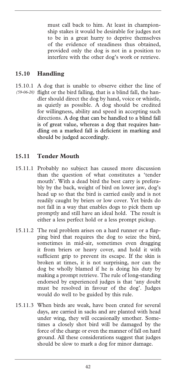must call back to him. At least in championship stakes it would be desirable for judges not to be in a great hurry to deprive themselves of the evidence of steadiness thus obtained, provided only the dog is not in a position to interfere with the other dog's work or retrieve.

#### **15.10 Handling**

15.10.1 A dog that is unable to observe either the line of (59-06-20) flight or the bird falling, that is a blind fall, the handler should direct the dog by hand, voice or whistle, as quietly as possible. A dog should be credited for willingness, ability and speed in accepting such directions. A dog that can be handled to a blind fall is of great value, whereas a dog that requires handling on a marked fall is deficient in marking and should be judged accordingly.

#### **15.11 Tender Mouth**

- 15.11.1 Probably no subject has caused more discussion than the question of what constitutes a 'tender mouth'. With a dead bird the best carry is preferably by the back, weight of bird on lower jaw, dog's head up so that the bird is carried easily and is not readily caught by briers or low cover. Yet birds do not fall in a way that enables dogs to pick them up promptly and still have an ideal hold. The result is either a less perfect hold or a less prompt pickup.
- 15.11.2 The real problem arises on a hard runner or a flapping bird that requires the dog to seize the bird, sometimes in mid-air, sometimes even dragging it from briers or heavy cover, and hold it with sufficient grip to prevent its escape. If the skin is broken at times, it is not surprising, nor can the dog be wholly blamed if he is doing his duty by making a prompt retrieve. The rule of long-standing endorsed by experienced judges is that 'any doubt must be resolved in favour of the dog'. Judges would do well to be guided by this rule.
- 15.11.3 When birds are weak, have been crated for several days, are carried in sacks and are planted with head under wing, they will occasionally smother. Sometimes a closely shot bird will be damaged by the force of the charge or even the manner of fall on hard ground. All these considerations suggest that judges should be slow to mark a dog for minor damage.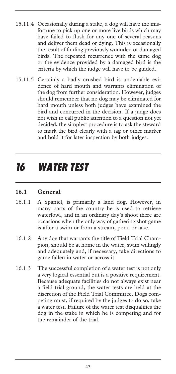- 15.11.4 Occasionally during a stake, a dog will have the misfortune to pick up one or more live birds which may have failed to flush for any one of several reasons and deliver them dead or dying. This is occasionally the result of finding previously wounded or damaged birds. The repeated recurrence with the same dog or the evidence provided by a damaged bird is the criteria by which the judge will have to be guided.
- 15.11.5 Certainly a badly crushed bird is undeniable evidence of hard mouth and warrants elimination of the dog from further consideration. However, judges should remember that no dog may be eliminated for hard mouth unless both judges have examined the bird and concurred in the decision. If a judge does not wish to call public attention to a question not yet decided, the simplest procedure is to ask the steward to mark the bird clearly with a tag or other marker and hold it for later inspection by both judges.

### *16 WATER TEST*

#### **16.1 General**

- 16.1.1 A Spaniel, is primarily a land dog. However, in many parts of the country he is used to retrieve waterfowl, and in an ordinary day's shoot there are occasions when the only way of gathering shot game is after a swim or from a stream, pond or lake.
- 16.1.2 Any dog that warrants the title of Field Trial Champion, should be at home in the water, swim willingly and adequately and, if necessary, take directions to game fallen in water or across it.
- 16.1.3 The successful completion of a water test is not only a very logical essential but is a positive requirement. Because adequate facilities do not always exist near a field trial ground, the water tests are held at the discretion of the Field Trial Committee. Dogs competing must, if required by the judges to do so, take a water test. Failure of the water test disqualifies the dog in the stake in which he is competing and for the remainder of the trial.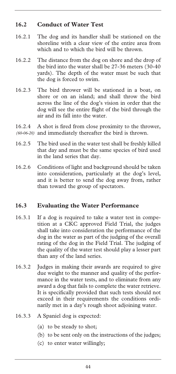#### **16.2 Conduct of Water Test**

- 16.2.1 The dog and its handler shall be stationed on the shoreline with a clear view of the entire area from which and to which the bird will be thrown.
- 16.2.2 The distance from the dog on shore and the drop of the bird into the water shall be 27-36 meters (30-40 yards). The depth of the water must be such that the dog is forced to swim.
- 16.2.3 The bird thrower will be stationed in a boat, on shore or on an island; and shall throw the bird across the line of the dog's vision in order that the dog will see the entire flight of the bird through the air and its fall into the water.
- 16.2.4 A shot is fired from close proximity to the thrower, (60-06-20) and immediately thereafter the bird is thrown.
- 16.2.5 The bird used in the water test shall be freshly killed that day and must be the same species of bird used in the land series that day.
- 16.2.6 Conditions of light and background should be taken into consideration, particularly at the dog's level, and it is better to send the dog away from, rather than toward the group of spectators.

#### **16.3 Evaluating the Water Performance**

- 16.3.1 If a dog is required to take a water test in competition at a CKC approved Field Trial, the judges shall take into consideration the performance of the dog in the water as part of the judging of the overall rating of the dog in the Field Trial. The judging of the quality of the water test should play a lesser part than any of the land series.
- 16.3.2 Judges in making their awards are required to give due weight to the manner and quality of the performance in the water tests, and to eliminate from any award a dog that fails to complete the water retrieve. It is specifically provided that such tests should not exceed in their requirements the conditions ordinarily met in a day's rough shoot adjoining water.
- 16.3.3 A Spaniel dog is expected:
	- (a) to be steady to shot;
	- (b) to be sent only on the instructions of the judges;
	- (c) to enter water willingly;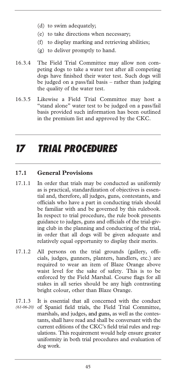- (d) to swim adequately;
- (e) to take directions when necessary;
- (f) to display marking and retrieving abilities;
- (g) to deliver promptly to hand.
- 16.3.4 The Field Trial Committee may allow non competing dogs to take a water test after all competing dogs have finished their water test. Such dogs will be judged on a pass/fail basis – rather than judging the quality of the water test.
- 16.3.5 Likewise a Field Trial Committee may host a "stand alone" water test to be judged on a pass/fail basis provided such information has been outlined in the premium list and approved by the CKC.

### *17 TRIAL PROCEDURES*

#### **17.1 General Provisions**

- 17.1.1 In order that trials may be conducted as uniformly as is practical, standardization of objectives is essential and, therefore, all judges, guns, contestants, and officials who have a part in conducting trials should be familiar with and be governed by this rulebook. In respect to trial procedure, the rule book presents guidance to judges, guns and officials of the trial-giving club in the planning and conducting of the trial, in order that all dogs will be given adequate and relatively equal opportunity to display their merits.
- 17.1.2 All persons on the trial grounds (gallery, officials, judges, gunners, planters, handlers, etc.) are required to wear an item of Blaze Orange above waist level for the sake of safety. This is to be enforced by the Field Marshal. Course flags for all stakes in all series should be any high contrasting bright colour, other than Blaze Orange.
- 17.1.3 It is essential that all concerned with the conduct of Spaniel field trials, the Field Trial Committee, marshals, and judges, and guns, as well as the contestants, shall have read and shall be conversant with the current editions of the CKC's field trial rules and regulations. This requirement would help ensure greater uniformity in both trial procedures and evaluation of dog work. *(61-06-20)*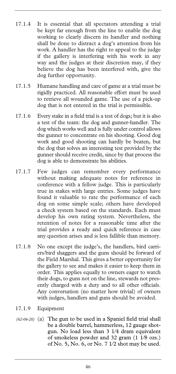- 17.1.4 It is essential that all spectators attending a trial be kept far enough from the line to enable the dog working to clearly discern its handler and nothing shall be done to distract a dog's attention from his work. A handler has the right to appeal to the judge if the gallery is interfering with his work in any way and the judges at their discretion may, if they believe the dog has been interfered with, give the dog further opportunity.
- 17.1.5 Humane handling and care of game at a trial must be rigidly practiced. All reasonable effort must be used to retrieve all wounded game. The use of a pick-up dog that is not entered in the trial is permissible.
- 17.1.6 Every stake in a field trial is a test of dogs; but it is also a test of the team: the dog and gunner-handler. The dog which works well and is fully under control allows the gunner to concentrate on his shooting. Good dog work and good shooting can hardly be beaten, but the dog that solves an interesting test provided by the gunner should receive credit, since by that process the dog is able to demonstrate his abilities.
- 17.1.7 Few judges can remember every performance without making adequate notes for reference in conference with a fellow judge. This is particularly true in stakes with large entries. Some judges have found it valuable to rate the performance of each dog on some simple scale; others have developed a check system based on the standards. Each must develop his own rating system. Nevertheless, the retention of notes for a reasonable time after the trial provides a ready and quick reference in case any question arises and is less fallible than memory.
- 17.1.8 No one except the judge's, the handlers, bird carriers/bird shaggers and the guns should be forward of the Field Marshal. This gives a better opportunity for the gallery to see and makes it easier to keep them in order. This applies equally to owners eager to watch their dogs, to guns not on the line, stewards not presently charged with a duty and to all other officials. Any conversation (no matter how trivial) of owners with judges, handlers and guns should be avoided.
- 17.1.9 Equipment
- (a) The gun to be used in a Spaniel field trial shall *(62-06-20)* be a double barrel, hammerless, 12 gauge shotgun. No load less than 3 1⁄4 dram equivalent of smokeless powder and 32 gram (1 1⁄8 ozs.) of No. 5, No. 6, or No. 7 1⁄2 shot may be used.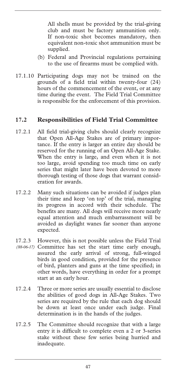All shells must be provided by the trial-giving club and must be factory ammunition only. If non-toxic shot becomes mandatory, then equivalent non-toxic shot ammunition must be supplied.

- (b) Federal and Provincial regulations pertaining to the use of firearms must be complied with.
- 17.1.10 Participating dogs may not be trained on the grounds of a field trial within twenty-four (24) hours of the commencement of the event, or at any time during the event. The Field Trial Committee is responsible for the enforcement of this provision.

#### **17.2 Responsibilities of Field Trial Committee**

- 17.2.1 All field trial-giving clubs should clearly recognize that Open All-Age Stakes are of primary importance. If the entry is larger an entire day should be reserved for the running of an Open All-Age Stake. When the entry is large, and even when it is not too large, avoid spending too much time on early series that might later have been devoted to more thorough testing of those dogs that warrant consideration for awards.
- 17.2.2 Many such situations can be avoided if judges plan their time and keep 'on top' of the trial, managing its progress in accord with their schedule. The benefits are many. All dogs will receive more nearly equal attention and much embarrassment will be avoided as daylight wanes far sooner than anyone expected.
- 17.2.3 However, this is not possible unless the Field Trial (88-06-17) Committee has set the start time early enough, assured the early arrival of strong, full-winged birds in good condition, provided for the presence of bird, planters and guns at the time specified; in other words, have everything in order for a prompt start at an early hour.
- 17.2.4 Three or more series are usually essential to disclose the abilities of good dogs in All-Age Stakes. Two series are required by the rule that each dog should be down at least once under each judge. Final determination is in the hands of the judges.
- 17.2.5 The Committee should recognize that with a large entry it is difficult to complete even a 2 or 3-series stake without these few series being hurried and inadequate.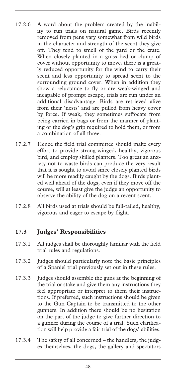- 17.2.6 A word about the problem created by the inability to run trials on natural game. Birds recently removed from pens vary somewhat from wild birds in the character and strength of the scent they give off. They tend to smell of the yard or the crate. When closely planted in a grass bed or clump of cover without opportunity to move, there is a greatly reduced opportunity for the wind to carry their scent and less opportunity to spread scent to the surrounding ground cover. When in addition they show a reluctance to fly or are weak-winged and incapable of prompt escape, trials are run under an additional disadvantage. Birds are retrieved alive from their 'nests' and are pulled from heavy cover by force. If weak, they sometimes suffocate from being carried in bags or from the manner of planting or the dog's grip required to hold them, or from a combination of all three.
- 17.2.7 Hence the field trial committee should make every effort to provide strong-winged, healthy, vigorous bird, and employ skilled planters. Too great an anxiety not to waste birds can produce the very result that it is sought to avoid since closely planted birds will be more readily caught by the dogs. Birds planted well ahead of the dogs, even if they move off the course, will at least give the judge an opportunity to observe the ability of the dog on a recent scent.
- 17.2.8 All birds used at trials should be full-tailed, healthy, vigorous and eager to escape by flight.

#### **17.3 Judges' Responsibilities**

- 17.3.1 All judges shall be thoroughly familiar with the field trial rules and regulations.
- 17.3.2 Judges should particularly note the basic principles of a Spaniel trial previously set out in these rules.
- 17.3.3 Judges should assemble the guns at the beginning of the trial or stake and give them any instructions they feel appropriate or interpret to them their instructions. If preferred, such instructions should be given to the Gun Captain to be transmitted to the other gunners. In addition there should be no hesitation on the part of the judge to give further direction to a gunner during the course of a trial. Such clarification will help provide a fair trial of the dogs' abilities.
- 17.3.4 The safety of all concerned the handlers, the judges themselves, the dogs, the gallery and spectators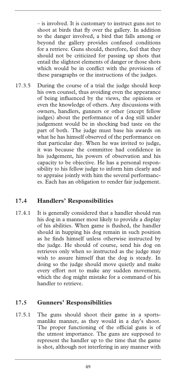– is involved. It is customary to instruct guns not to shoot at birds that fly over the gallery. In addition to the danger involved, a bird that falls among or beyond the gallery provides confused conditions for a retrieve. Guns should, therefore, feel that they should not be criticized for passing up shots that entail the slightest elements of danger or those shots which would be in conflict with the provisions of these paragraphs or the instructions of the judges.

17.3.5 During the course of a trial the judge should keep his own counsel, thus avoiding even the appearance of being influenced by the views, the opinions or even the knowledge of others. Any discussions with owners, handlers, gunners or other (except fellow judges) about the performance of a dog still under judgement would be in shocking bad taste on the part of both. The judge must base his awards on what he has himself observed of the performance on that particular day. When he was invited to judge, it was because the committee had confidence in his judgement, his powers of observation and his capacity to be objective. He has a personal responsibility to his fellow judge to inform him clearly and to appraise jointly with him the several performances. Each has an obligation to render fair judgement.

#### **17.4 Handlers' Responsibilities**

17.4.1 It is generally considered that a handler should run his dog in a manner most likely to provide a display of his abilities. When game is flushed, the handler should in hupping his dog remain in such position as he finds himself unless otherwise instructed by the judge. He should of course, send his dog on retrieves only when so instructed as the judge may wish to assure himself that the dog is steady. In doing so the judge should move quietly and make every effort not to make any sudden movement, which the dog might mistake for a command of his handler to retrieve.

#### **17.5 Gunners' Responsibilities**

17.5.1 The guns should shoot their game in a sportsmanlike manner, as they would in a day's shoot. The proper functioning of the official guns is of the utmost importance. The guns are supposed to represent the handler up to the time that the game is shot, although not interfering in any manner with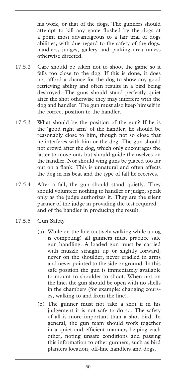his work, or that of the dogs. The gunners should attempt to kill any game flushed by the dogs at a point most advantageous to a fair trial of dogs abilities, with due regard to the safety of the dogs, handlers, judges, gallery and parking area unless otherwise directed.

- 17.5.2 Care should be taken not to shoot the game so it falls too close to the dog. If this is done, it does not afford a chance for the dog to show any good retrieving ability and often results in a bird being destroyed. The guns should stand perfectly quiet after the shot otherwise they may interfere with the dog and handler. The gun must also keep himself in the correct position to the handler.
- 17.5.3 What should be the position of the gun? If he is the 'good right arm' of the handler, he should be reasonably close to him, though not so close that he interferes with him or the dog. The gun should not crowd after the dog, which only encourages the latter to move out, but should guide themselves on the handler. Nor should wing guns be placed too far out on a flank. This is unnatural and often affects the dog in his beat and the type of fall he receives.
- 17.5.4 After a fall, the gun should stand quietly. They should volunteer nothing to handler or judge; speak only as the judge authorizes it. They are the silent partner of the judge in providing the test required – and of the handler in producing the result.
- 17.5.5 Gun Safety
	- (a) While on the line (actively walking while a dog is competing) all gunners must practice safe gun handling. A loaded gun must be carried with muzzle straight up or slightly forward, never on the shoulder, never cradled in arms and never pointed to the side or ground. In this safe position the gun is immediately available to mount to shoulder to shoot. When not on the line, the gun should be open with no shells in the chambers (for example: changing courses, walking to and from the line).
	- (b) The gunner must not take a shot if in his judgement it is not safe to do so. The safety of all is more important than a shot bird. In general, the gun team should work together in a quiet and efficient manner, helping each other, noting unsafe conditions and passing this information to other gunners, such as bird planters location, off-line handlers and dogs.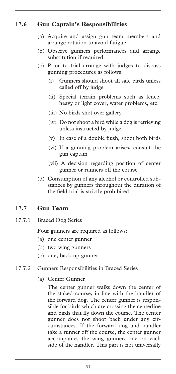#### **17.6 Gun Captain's Responsibilities**

- (a) Acquire and assign gun team members and arrange rotation to avoid fatigue.
- (b) Observe gunners performances and arrange substitution if required.
- (c) Prior to trial arrange with judges to discuss gunning procedures as follows:
	- (i) Gunners should shoot all safe birds unless called off by judge
	- (ii) Special terrain problems such as fence, heavy or light cover, water problems, etc.
	- (iii) No birds shot over gallery
	- (iv) Do not shoot a bird while a dog is retrieving unless instructed by judge
	- (v) In case of a double flush, shoot both birds
	- (vi) If a gunning problem arises, consult the gun captain
	- (vii) A decision regarding position of center gunner or runners off the course
- (d) Consumption of any alcohol or controlled substances by gunners throughout the duration of the field trial is strictly prohibited

#### **17.7 Gun Team**

17.7.1 Braced Dog Series

Four gunners are required as follows:

- (a) one center gunner
- (b) two wing gunners
- (c) one, back-up gunner
- 17.7.2 Gunners Responsibilities in Braced Series
	- (a) Center Gunner

 The center gunner walks down the center of the staked course, in line with the handler of the forward dog. The center gunner is responsible for birds which are crossing the centerline and birds that fly down the course. The center gunner does not shoot back under any circumstances. If the forward dog and handler take a runner off the course, the center gunner accompanies the wing gunner, one on each side of the handler. This part is not universally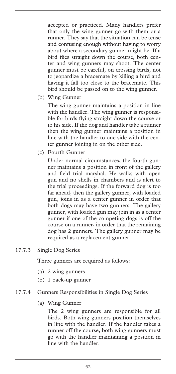accepted or practiced. Many handlers prefer that only the wing gunner go with them or a runner. They say that the situation can be tense and confusing enough without having to worry about where a secondary gunner might be. If a bird flies straight down the course, both center and wing gunners may shoot. The center gunner must be careful, on crossing birds, not to jeopardize a bracemate by killing a bird and having it fall too close to the bracemate. This bird should be passed on to the wing gunner.

#### (b) Wing Gunner

 The wing gunner maintains a position in line with the handler. The wing gunner is responsible for birds flying straight down the course or to his side. If the dog and handler take a runner then the wing gunner maintains a position in line with the handler to one side with the center gunner joining in on the other side.

(c) Fourth Gunner

 Under normal circumstances, the fourth gunner maintains a position in front of the gallery and field trial marshal. He walks with open gun and no shells in chambers and is alert to the trial proceedings. If the forward dog is too far ahead, then the gallery gunner, with loaded gun, joins in as a center gunner in order that both dogs may have two gunners. The gallery gunner, with loaded gun may join in as a center gunner if one of the competing dogs is off the course on a runner, in order that the remaining dog has 2 gunners. The gallery gunner may be required as a replacement gunner.

17.7.3 Single Dog Series

Three gunners are required as follows:

- (a) 2 wing gunners
- (b) 1 back-up gunner
- 17.7.4 Gunners Responsibilities in Single Dog Series
	- (a) Wing Gunner

 The 2 wing gunners are responsible for all birds. Both wing gunners position themselves in line with the handler. If the handler takes a runner off the course, both wing gunners must go with the handler maintaining a position in line with the handler.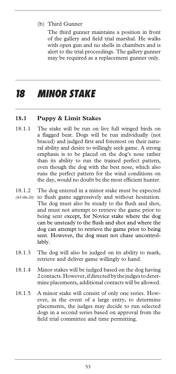(b) Third Gunner

 The third gunner maintains a position in front of the gallery and field trial marshal. He walks with open gun and no shells in chambers and is alert to the trial proceedings. The gallery gunner may be required as a replacement gunner only.

### *18 MINOR STAKE*

#### **18.1 Puppy & Limit Stakes**

- 18.1.1 The stake will be run on live full winged birds on a flagged beat. Dogs will be run individually (not braced) and judged first and foremost on their natural ability and desire to willingly seek game. A strong emphasis is to be placed on the dog's nose rather than its ability to run the trained perfect pattern, even though the dog with the best nose, which also runs the perfect pattern for the wind conditions on the day, would no doubt be the most efficient hunter.
- 18.1.2 The dog entered in a minor stake must be expected (63-06-20) to flush game aggressively and without hesitation. The dog must also be steady to the flush and shot, and must not attempt to retrieve the game prior to being sent except, for Novice stake where the dog can be unsteady to the flush and shot and where the dog can attempt to retrieve the game prior to being sent. However, the dog must not chase uncontrollably.
- 18.1.3 The dog will also be judged on its ability to mark, retrieve and deliver game willingly to hand.
- 18.1.4 Minor stakes will be judged based on the dog having 2 contacts. However, if directed by the judges to determine placements, additional contacts will be allowed.
- 18.1.5 A minor stake will consist of only one series. However, in the event of a large entry, to determine placements, the judges may decide to run selected dogs in a second series based on approval from the field trial committee and time permitting.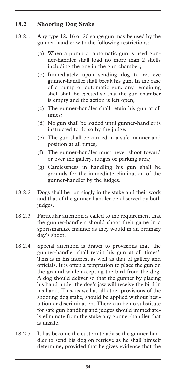#### **18.2 Shooting Dog Stake**

- 18.2.1 Any type 12, 16 or 20 gauge gun may be used by the gunner-handler with the following restrictions:
	- (a) When a pump or automatic gun is used gunner-handler shall load no more than 2 shells including the one in the gun chamber;
	- (b) Immediately upon sending dog to retrieve gunner-handler shall break his gun. In the case of a pump or automatic gun, any remaining shell shall be ejected so that the gun chamber is empty and the action is left open;
	- (c) The gunner-handler shall retain his gun at all times;
	- (d) No gun shall be loaded until gunner-handler is instructed to do so by the judge;
	- (e) The gun shall be carried in a safe manner and position at all times;
	- (f) The gunner-handler must never shoot toward or over the gallery, judges or parking area;
	- (g) Carelessness in handling his gun shall be grounds for the immediate elimination of the gunner-handler by the judges.
- 18.2.2 Dogs shall be run singly in the stake and their work and that of the gunner-handler be observed by both judges.
- 18.2.3 Particular attention is called to the requirement that the gunner-handlers should shoot their game in a sportsmanlike manner as they would in an ordinary day's shoot.
- 18.2.4 Special attention is drawn to provisions that 'the gunner-handler shall retain his gun at all times'. This is in his interest as well as that of gallery and officials. It is often a temptation to place the gun on the ground while accepting the bird from the dog. A dog should deliver so that the gunner by placing his hand under the dog's jaw will receive the bird in his hand. This, as well as all other provisions of the shooting dog stake, should be applied without hesitation or discrimination. There can be no substitute for safe gun handling and judges should immediately eliminate from the stake any gunner-handler that is unsafe.
- 18.2.5 It has become the custom to advise the gunner-handler to send his dog on retrieve as he shall himself determine, provided that he gives evidence that the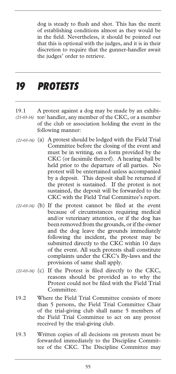dog is steady to flush and shot. This has the merit of establishing conditions almost as they would be in the field. Nevertheless, it should be pointed out that this is optional with the judges, and it is in their discretion to require that the gunner-handler await the judges' order to retrieve.

### *19 PROTESTS*

- 19.1 A protest against a dog may be made by an exhibi-(21-03-16) tor/ handler, any member of the CKC, or a member of the club or association holding the event in the following manner:
- (a) A protest should be lodged with the Field Trial *(21-03-16)*  Committee before the closing of the event and must be in writing, on a form provided by the CKC (or facsimile thereof). A hearing shall be held prior to the departure of all parties. No protest will be entertained unless accompanied by a deposit. This deposit shall be returned if the protest is sustained. If the protest is not sustained, the deposit will be forwarded to the CKC with the Field Trial Committee's report.
- (21-03-16) (b) If the protest cannot be filed at the event because of circumstances requiring medical and/or veterinary attention, or if the dog has been removed from the grounds, or if the owner and the dog leave the grounds immediately following the incident, the protest may be submitted directly to the CKC within 10 days of the event. All such protests shall constitute complaints under the CKC's By-laws and the provisions of same shall apply.
- (21-03-16) (c) If the Protest is filed directly to the CKC, reasons should be provided as to why the Protest could not be filed with the Field Trial Committee.
- 19.2 Where the Field Trial Committee consists of more than 5 persons, the Field Trial Committee Chair of the trial-giving club shall name 5 members of the Field Trial Committee to act on any protest received by the trial-giving club.
- 19.3 Written copies of all decisions on protests must be forwarded immediately to the Discipline Committee of the CKC. The Discipline Committee may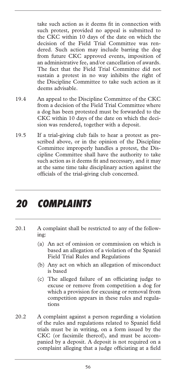take such action as it deems fit in connection with such protest, provided no appeal is submitted to the CKC within 10 days of the date on which the decision of the Field Trial Committee was rendered. Such action may include barring the dog from future CKC approved events, imposition of an administrative fee, and/or cancellation of awards. The fact that the Field Trial Committee did not sustain a protest in no way inhibits the right of the Discipline Committee to take such action as it deems advisable.

- 19.4 An appeal to the Discipline Committee of the CKC from a decision of the Field Trial Committee where a dog has been protested must be forwarded to the CKC within 10 days of the date on which the decision was rendered, together with a deposit.
- 19.5 If a trial-giving club fails to hear a protest as prescribed above, or in the opinion of the Discipline Committee improperly handles a protest, the Discipline Committee shall have the authority to take such action as it deems fit and necessary, and it may at the same time take disciplinary action against the officials of the trial-giving club concerned.

### *20 COMPLAINTS*

- 20.1 A complaint shall be restricted to any of the following:
	- (a) An act of omission or commission on which is based an allegation of a violation of the Spaniel Field Trial Rules and Regulations
	- (b) Any act on which an allegation of misconduct is based
	- (c) The alleged failure of an officiating judge to excuse or remove from competition a dog for which a provision for excusing or removal from competition appears in these rules and regulations
- 20.2 A complaint against a person regarding a violation of the rules and regulations related to Spaniel field trials must be in writing, on a form issued by the CKC (or facsimile thereof), and must be accompanied by a deposit. A deposit is not required on a complaint alleging that a judge officiating at a field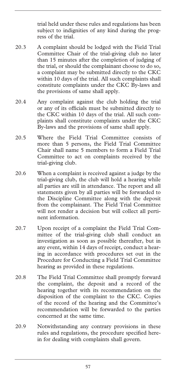trial held under these rules and regulations has been subject to indignities of any kind during the progress of the trial.

- 20.3 A complaint should be lodged with the Field Trial Committee Chair of the trial-giving club no later than 15 minutes after the completion of judging of the trial, or should the complainant choose to do so, a complaint may be submitted directly to the CKC within 10 days of the trial. All such complaints shall constitute complaints under the CKC By-laws and the provisions of same shall apply.
- 20.4 Any complaint against the club holding the trial or any of its officials must be submitted directly to the CKC within 10 days of the trial. All such complaints shall constitute complaints under the CKC By-laws and the provisions of same shall apply.
- 20.5 Where the Field Trial Committee consists of more than 5 persons, the Field Trial Committee Chair shall name 5 members to form a Field Trial Committee to act on complaints received by the trial-giving club.
- 20.6 When a complaint is received against a judge by the trial-giving club, the club will hold a hearing while all parties are still in attendance. The report and all statements given by all parties will be forwarded to the Discipline Committee along with the deposit from the complainant. The Field Trial Committee will not render a decision but will collect all pertinent information.
- 20.7 Upon receipt of a complaint the Field Trial Committee of the trial-giving club shall conduct an investigation as soon as possible thereafter, but in any event, within 14 days of receipt, conduct a hearing in accordance with procedures set out in the Procedure for Conducting a Field Trial Committee hearing as provided in these regulations.
- 20.8 The Field Trial Committee shall promptly forward the complaint, the deposit and a record of the hearing together with its recommendation on the disposition of the complaint to the CKC. Copies of the record of the hearing and the Committee's recommendation will be forwarded to the parties concerned at the same time.
- 20.9 Notwithstanding any contrary provisions in these rules and regulations, the procedure specified herein for dealing with complaints shall govern.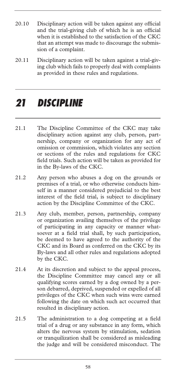- 20.10 Disciplinary action will be taken against any official and the trial-giving club of which he is an official when it is established to the satisfaction of the CKC that an attempt was made to discourage the submission of a complaint.
- 20.11 Disciplinary action will be taken against a trial-giving club which fails to properly deal with complaints as provided in these rules and regulations.

### *21 DISCIPLINE*

- 21.1 The Discipline Committee of the CKC may take disciplinary action against any club, person, partnership, company or organization for any act of omission or commission, which violates any section or sections of the rules and regulations for CKC field trials. Such action will be taken as provided for in the By-laws of the CKC.
- 21.2 Any person who abuses a dog on the grounds or premises of a trial, or who otherwise conducts himself in a manner considered prejudicial to the best interest of the field trial, is subject to disciplinary action by the Discipline Committee of the CKC.
- 21.3 Any club, member, person, partnership, company or organization availing themselves of the privilege of participating in any capacity or manner whatsoever at a field trial shall, by such participation, be deemed to have agreed to the authority of the CKC and its Board as conferred on the CKC by its By-laws and all other rules and regulations adopted by the CKC.
- 21.4 At its discretion and subject to the appeal process, the Discipline Committee may cancel any or all qualifying scores earned by a dog owned by a person debarred, deprived, suspended or expelled of all privileges of the CKC when such wins were earned following the date on which such act occurred that resulted in disciplinary action.
- 21.5 The administration to a dog competing at a field trial of a drug or any substance in any form, which alters the nervous system by stimulation, sedation or tranquilization shall be considered as misleading the judge and will be considered misconduct. The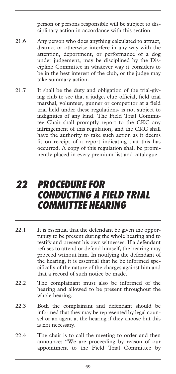person or persons responsible will be subject to disciplinary action in accordance with this section.

- 21.6 Any person who does anything calculated to attract, distract or otherwise interfere in any way with the attention, deportment, or performance of a dog under judgement, may be disciplined by the Discipline Committee in whatever way it considers to be in the best interest of the club, or the judge may take summary action.
- 21.7 It shall be the duty and obligation of the trial-giving club to see that a judge, club official, field trial marshal, volunteer, gunner or competitor at a field trial held under these regulations, is not subject to indignities of any kind. The Field Trial Committee Chair shall promptly report to the CKC any infringement of this regulation, and the CKC shall have the authority to take such action as it deems fit on receipt of a report indicating that this has occurred. A copy of this regulation shall be prominently placed in every premium list and catalogue.

### *22 PROCEDURE FOR CONDUCTING A FIELD TRIAL COMMITTEE HEARING*

- 22.1 It is essential that the defendant be given the opportunity to be present during the whole hearing and to testify and present his own witnesses. If a defendant refuses to attend or defend himself, the hearing may proceed without him. In notifying the defendant of the hearing, it is essential that he be informed specifically of the nature of the charges against him and that a record of such notice be made.
- 22.2 The complainant must also be informed of the hearing and allowed to be present throughout the whole hearing.
- 22.3 Both the complainant and defendant should be informed that they may be represented by legal counsel or an agent at the hearing if they choose but this is not necessary.
- 22.4 The chair is to call the meeting to order and then announce: "We are proceeding by reason of our appointment to the Field Trial Committee by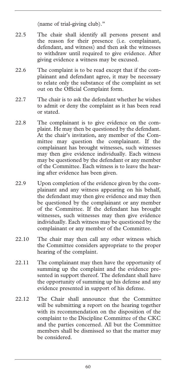(name of trial-giving club)."

- 22.5 The chair shall identify all persons present and the reason for their presence (i.e. complainant, defendant, and witness) and then ask the witnesses to withdraw until required to give evidence. After giving evidence a witness may be excused.
- 22.6 The complaint is to be read except that if the complainant and defendant agree, it may be necessary to relate only the substance of the complaint as set out on the Official Complaint form.
- 22.7 The chair is to ask the defendant whether he wishes to admit or deny the complaint as it has been read or stated.
- 22.8 The complainant is to give evidence on the complaint. He may then be questioned by the defendant. At the chair's invitation, any member of the Committee may question the complainant. If the complainant has brought witnesses, such witnesses may then give evidence individually. Each witness may be questioned by the defendant or any member of the Committee. Each witness is to leave the hearing after evidence has been given.
- 22.9 Upon completion of the evidence given by the complainant and any witness appearing on his behalf, the defendant may then give evidence and may then be questioned by the complainant or any member of the Committee. If the defendant has brought witnesses, such witnesses may then give evidence individually. Each witness may be questioned by the complainant or any member of the Committee.
- 22.10 The chair may then call any other witness which the Committee considers appropriate to the proper hearing of the complaint.
- 22.11 The complainant may then have the opportunity of summing up the complaint and the evidence presented in support thereof. The defendant shall have the opportunity of summing up his defense and any evidence presented in support of his defense.
- 22.12 The Chair shall announce that the Committee will be submitting a report on the hearing together with its recommendation on the disposition of the complaint to the Discipline Committee of the CKC and the parties concerned. All but the Committee members shall be dismissed so that the matter may be considered.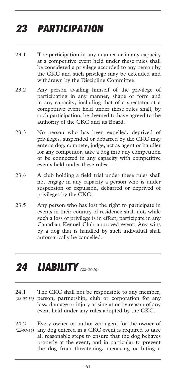# *23 PARTICIPATION*

- 23.1 The participation in any manner or in any capacity at a competitive event held under these rules shall be considered a privilege accorded to any person by the CKC and such privilege may be extended and withdrawn by the Discipline Committee.
- 23.2 Any person availing himself of the privilege of participating in any manner, shape or form and in any capacity, including that of a spectator at a competitive event held under these rules shall, by such participation, be deemed to have agreed to the authority of the CKC and its Board.
- 23.3 No person who has been expelled, deprived of privileges, suspended or debarred by the CKC may enter a dog, compete, judge, act as agent or handler for any competitor, take a dog into any competition or be connected in any capacity with competitive events held under these rules.
- 23.4 A club holding a field trial under these rules shall not engage in any capacity a person who is under suspension or expulsion, debarred or deprived of privileges by the CKC.
- 23.5 Any person who has lost the right to participate in events in their country of residence shall not, while such a loss of privilege is in effect, participate in any Canadian Kennel Club approved event. Any wins by a dog that is handled by such individual shall automatically be cancelled.

# *24 LIABILITY (22-03-16)*

- 24.1 The CKC shall not be responsible to any member, person, partnership, club or corporation for any *(22-03-16)* loss, damage or injury arising at or by reason of any event held under any rules adopted by the CKC.
- 24.2 Every owner or authorized agent for the owner of any dog entered in a CKC event is required to take all reasonable steps to ensure that the dog behaves properly at the event, and in particular to prevent the dog from threatening, menacing or biting a *(22-03-16)*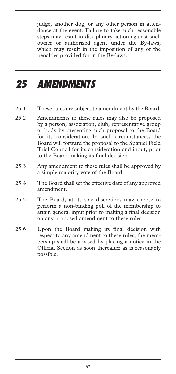judge, another dog, or any other person in attendance at the event. Failure to take such reasonable steps may result in disciplinary action against such owner or authorized agent under the By-laws, which may result in the imposition of any of the penalties provided for in the By-laws.

### *25 AMENDMENTS*

- 25.1 These rules are subject to amendment by the Board.
- 25.2 Amendments to these rules may also be proposed by a person, association, club, representative group or body by presenting such proposal to the Board for its consideration. In such circumstances, the Board will forward the proposal to the Spaniel Field Trial Council for its consideration and input, prior to the Board making its final decision.
- 25.3 Any amendment to these rules shall be approved by a simple majority vote of the Board.
- 25.4 The Board shall set the effective date of any approved amendment.
- 25.5 The Board, at its sole discretion, may choose to perform a non-binding poll of the membership to attain general input prior to making a final decision on any proposed amendment to these rules.
- 25.6 Upon the Board making its final decision with respect to any amendment to these rules, the membership shall be advised by placing a notice in the Official Section as soon thereafter as is reasonably possible.